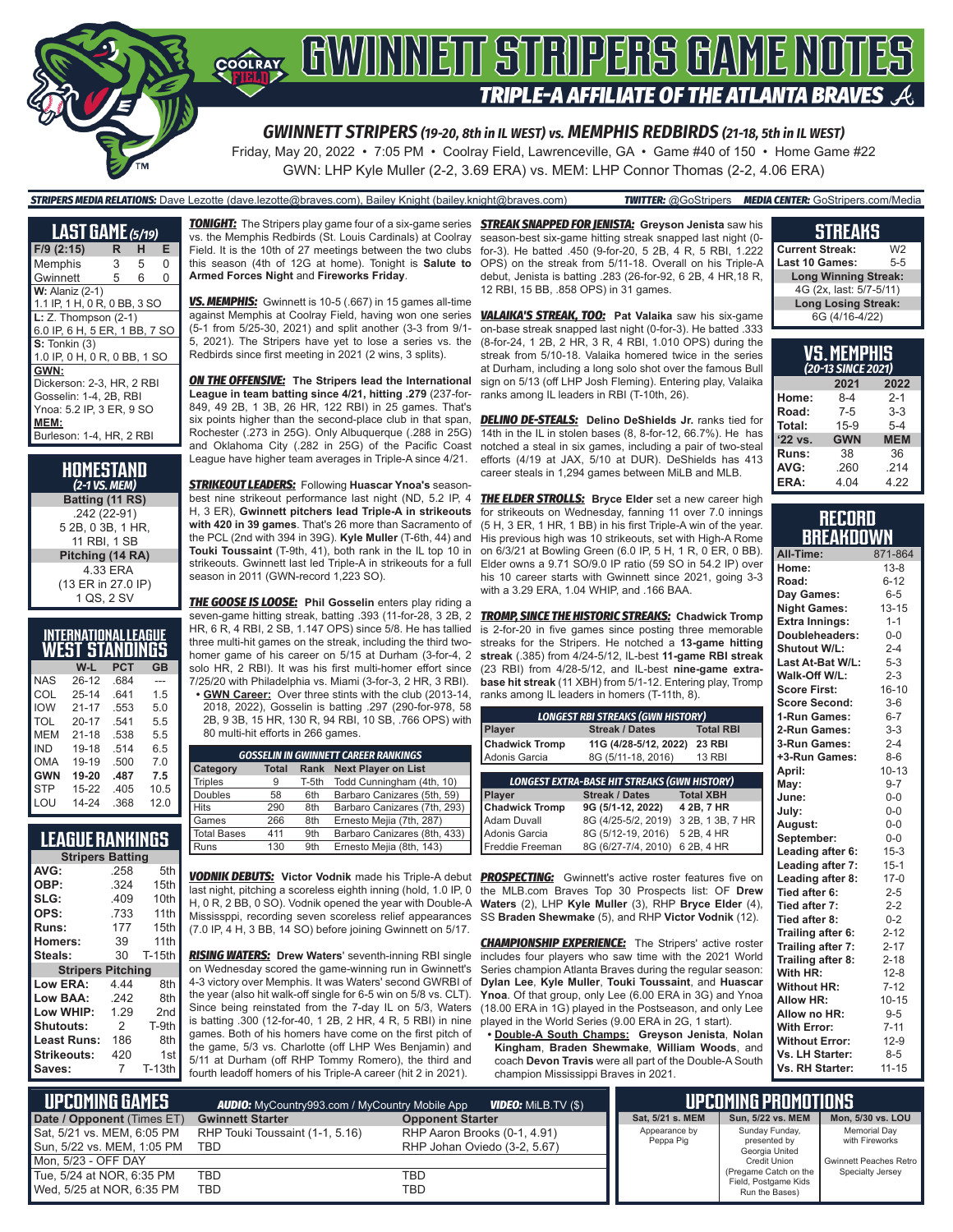

GWN: LHP Kyle Muller (2-2, 3.69 ERA) vs. MEM: LHP Connor Thomas (2-2, 4.06 ERA)

#### *STRIPERS MEDIA RELATIONS:* Dave Lezotte (dave.lezotte@braves.com), Bailey Knight (bailey.knight@braves.com) *TWITTER:* @GoStripers *MEDIA CENTER:* GoStripers.com/Media

| <b>LAST GAME</b> (5/19)       |   |   |   |
|-------------------------------|---|---|---|
| $F/9$ (2:15)                  | R | н | Е |
| Memphis                       | 3 | 5 | 0 |
| Gwinnett                      | 5 | 6 | 0 |
| <b>W:</b> Alaniz (2-1)        |   |   |   |
| 1.1 IP, 1 H, 0 R, 0 BB, 3 SO  |   |   |   |
| $L: Z.$ Thompson $(2-1)$      |   |   |   |
| 6.0 IP, 6 H, 5 ER, 1 BB, 7 SO |   |   |   |
| $S:$ Tonkin $(3)$             |   |   |   |
| 1.0 IP, 0 H, 0 R, 0 BB, 1 SO  |   |   |   |
| GWN:                          |   |   |   |
| Dickerson: 2-3. HR. 2 RBI     |   |   |   |
| Gosselin: 1-4, 2B, RBI        |   |   |   |
| Ynoa: 5.2 IP, 3 ER, 9 SO      |   |   |   |
| MEM:                          |   |   |   |
| Burleson: 1-4, HR, 2 RBI      |   |   |   |

**HOMESTAND** *(2-1 VS. MEM)* **Batting (11 RS)** .242 (22-91) 5 2B, 0 3B, 1 HR, 11 RBI, 1 SB **Pitching (14 RA)** 4.33 ERA (13 ER in 27.0 IP) 1 QS, 2 SV

|            | <b>INTERNATIONAL LEAGUE</b><br>WEST STANDINGS |      |      |
|------------|-----------------------------------------------|------|------|
|            | W-L                                           | PCT  | GB   |
| <b>NAS</b> | 26-12                                         | .684 |      |
| COL        | $25 - 14$                                     | .641 | 1.5  |
| <b>IOW</b> | $21 - 17$                                     | .553 | 5.0  |
| TOL        | $20 - 17$                                     | .541 | 5.5  |
| <b>MFM</b> | $21 - 18$                                     | .538 | 5.5  |
| IND        | 19-18                                         | .514 | 6.5  |
| OMA        | 19-19                                         | .500 | 70   |
| <b>GWN</b> | 19-20                                         | .487 | 7.5  |
| <b>STP</b> | 15-22                                         | .405 | 10.5 |
| LOU        | 14-24                                         | .368 | 12.0 |

### **LEAGUE RANKINGS**

|                          | <b>Stripers Batting</b> |                  |  |  |  |  |  |
|--------------------------|-------------------------|------------------|--|--|--|--|--|
| AVG:                     | .258                    | 5th              |  |  |  |  |  |
| OBP:                     | .324                    | 15th             |  |  |  |  |  |
| SLG:                     | .409                    | 10th             |  |  |  |  |  |
| OPS:                     | .733                    | 11 <sub>th</sub> |  |  |  |  |  |
| Runs:                    | 177                     | 15th             |  |  |  |  |  |
| Homers:                  | 39                      | 11th             |  |  |  |  |  |
| Steals:                  | 30                      | <b>T-15th</b>    |  |  |  |  |  |
| <b>Stripers Pitching</b> |                         |                  |  |  |  |  |  |
| Low ERA:                 | 4 44                    | 8th              |  |  |  |  |  |
| Low BAA:                 | .242                    | 8th              |  |  |  |  |  |
| Low WHIP:                | 1.29                    | 2 <sub>nd</sub>  |  |  |  |  |  |
| Shutouts:                | $\mathcal{P}$           | T-9th            |  |  |  |  |  |
| <b>Least Runs:</b>       | 186                     | 8th              |  |  |  |  |  |
| Strikeouts:              | 420                     | 1st              |  |  |  |  |  |
| Saves:                   | 7                       | $T-13th$         |  |  |  |  |  |
|                          |                         |                  |  |  |  |  |  |

*TONIGHT:* The Stripers play game four of a six-game series *STREAK SNAPPED FOR JENISTA:* **Greyson Jenista** saw his vs. the Memphis Redbirds (St. Louis Cardinals) at Coolray Field. It is the 10th of 27 meetings between the two clubs this season (4th of 12G at home). Tonight is **Salute to Armed Forces Night** and **Fireworks Friday**.

*VS. MEMPHIS:* Gwinnett is 10-5 (.667) in 15 games all-time against Memphis at Coolray Field, having won one series (5-1 from 5/25-30, 2021) and split another (3-3 from 9/1- 5, 2021). The Stripers have yet to lose a series vs. the Redbirds since first meeting in 2021 (2 wins, 3 splits).

*ON THE OFFENSIVE:* **The Stripers lead the International League in team batting since 4/21, hitting .279** (237-for-849, 49 2B, 1 3B, 26 HR, 122 RBI) in 25 games. That's six points higher than the second-place club in that span, Rochester (.273 in 25G). Only Albuquerque (.288 in 25G) and Oklahoma City (.282 in 25G) of the Pacific Coast League have higher team averages in Triple-A since 4/21.

*STRIKEOUT LEADERS:* Following **Huascar Ynoa's** seasonbest nine strikeout performance last night (ND, 5.2 IP, 4 H, 3 ER), **Gwinnett pitchers lead Triple-A in strikeouts with 420 in 39 games**. That's 26 more than Sacramento of the PCL (2nd with 394 in 39G). **Kyle Muller** (T-6th, 44) and **Touki Toussaint** (T-9th, 41), both rank in the IL top 10 in strikeouts. Gwinnett last led Triple-A in strikeouts for a full season in 2011 (GWN-record 1,223 SO).

*THE GOOSE IS LOOSE:* **Phil Gosselin** enters play riding a seven-game hitting streak, batting .393 (11-for-28, 3 2B, 2 HR, 6 R, 4 RBI, 2 SB, 1.147 OPS) since 5/8. He has tallied three multi-hit games on the streak, including the third twohomer game of his career on 5/15 at Durham (3-for-4, 2 solo HR, 2 RBI). It was his first multi-homer effort since 7/25/20 with Philadelphia vs. Miami (3-for-3, 2 HR, 3 RBI).

**• GWN Career:** Over three stints with the club (2013-14, 2018, 2022), Gosselin is batting .297 (290-for-978, 58 2B, 9 3B, 15 HR, 130 R, 94 RBI, 10 SB, .766 OPS) with 80 multi-hit efforts in 266 games.

| <b>GOSSELIN IN GWINNETT CAREER RANKINGS</b> |              |       |                              |  |  |  |
|---------------------------------------------|--------------|-------|------------------------------|--|--|--|
| <b>Category</b>                             | <b>Total</b> | Rank  | <b>Next Player on List</b>   |  |  |  |
| <b>Triples</b>                              | 9            | T-5th | Todd Cunningham (4th, 10)    |  |  |  |
| Doubles                                     | 58           | 6th   | Barbaro Canizares (5th, 59)  |  |  |  |
| <b>Hits</b>                                 | 290          | 8th   | Barbaro Canizares (7th, 293) |  |  |  |
| Games                                       | 266          | 8th   | Ernesto Mejia (7th, 287)     |  |  |  |
| <b>Total Bases</b>                          | 411          | 9th   | Barbaro Canizares (8th, 433) |  |  |  |
| Runs                                        | 130          | 9th   | Ernesto Mejia (8th, 143)     |  |  |  |

*VODNIK DEBUTS:* **Victor Vodnik** made his Triple-A debut *PROSPECTING:* Gwinnett's active roster features five on last night, pitching a scoreless eighth inning (hold, 1.0 IP, 0 H, 0 R, 2 BB, 0 SO). Vodnik opened the year with Double-A Mississppi, recording seven scoreless relief appearances (7.0 IP, 4 H, 3 BB, 14 SO) before joining Gwinnett on 5/17.

*RISING WATERS:* **Drew Waters**' seventh-inning RBI single on Wednesday scored the game-winning run in Gwinnett's 4-3 victory over Memphis. It was Waters' second GWRBI of the year (also hit walk-off single for 6-5 win on 5/8 vs. CLT). Since being reinstated from the 7-day IL on 5/3, Waters is batting .300 (12-for-40, 1 2B, 2 HR, 4 R, 5 RBI) in nine games. Both of his homers have come on the first pitch of the game, 5/3 vs. Charlotte (off LHP Wes Benjamin) and 5/11 at Durham (off RHP Tommy Romero), the third and fourth leadoff homers of his Triple-A career (hit 2 in 2021).

season-best six-game hitting streak snapped last night (0 for-3). He batted .450 (9-for-20, 5 2B, 4 R, 5 RBI, 1.222 OPS) on the streak from 5/11-18. Overall on his Triple-A debut, Jenista is batting .283 (26-for-92, 6 2B, 4 HR,18 R, 12 RBI, 15 BB, .858 OPS) in 31 games.

*VALAIKA'S STREAK, TOO:* **Pat Valaika** saw his six-game on-base streak snapped last night (0-for-3). He batted .333 (8-for-24, 1 2B, 2 HR, 3 R, 4 RBI, 1.010 OPS) during the streak from 5/10-18. Valaika homered twice in the series at Durham, including a long solo shot over the famous Bull sign on 5/13 (off LHP Josh Fleming). Entering play, Valaika ranks among IL leaders in RBI (T-10th, 26).

**DELINO DE-STEALS:** Delino DeShields Jr. ranks tied for 14th in the IL in stolen bases (8, 8-for-12, 66.7%). He has notched a steal in six games, including a pair of two-steal efforts (4/19 at JAX, 5/10 at DUR). DeShields has 413 career steals in 1,294 games between MiLB and MLB.

**THE ELDER STROLLS:** Bryce Elder set a new career high for strikeouts on Wednesday, fanning 11 over 7.0 innings (5 H, 3 ER, 1 HR, 1 BB) in his first Triple-A win of the year. His previous high was 10 strikeouts, set with High-A Rome on 6/3/21 at Bowling Green (6.0 IP, 5 H, 1 R, 0 ER, 0 BB). Elder owns a 9.71 SO/9.0 IP ratio (59 SO in 54.2 IP) over his 10 career starts with Gwinnett since 2021, going 3-3 with a 3.29 ERA, 1.04 WHIP, and .166 BAA.

*TROMP, SINCE THE HISTORIC STREAKS:* **Chadwick Tromp** is 2-for-20 in five games since posting three memorable streaks for the Stripers. He notched a **13-game hitting streak** (.385) from 4/24-5/12, IL-best **11-game RBI streak** (23 RBI) from 4/28-5/12, and IL-best **nine-game extrabase hit streak** (11 XBH) from 5/1-12. Entering play, Tromp ranks among IL leaders in homers (T-11th, 8).

| <b>LONGEST RBI STREAKS (GWN HISTORY)</b>                   |                       |                  |  |  |  |  |
|------------------------------------------------------------|-----------------------|------------------|--|--|--|--|
| <b>Streak / Dates</b><br><b>Total RBI</b><br><b>Player</b> |                       |                  |  |  |  |  |
| <b>Chadwick Tromp</b>                                      | 11G (4/28-5/12, 2022) | <b>23 RBI</b>    |  |  |  |  |
| Adonis Garcia                                              | 8G (5/11-18, 2016)    | <b>13 RBI</b>    |  |  |  |  |
|                                                            |                       |                  |  |  |  |  |
| <b>LONGEST EXTRA-BASE HIT STREAKS (GWN HISTORY)</b>        |                       |                  |  |  |  |  |
| <b>Player</b>                                              | <b>Streak / Dates</b> | <b>Total XBH</b> |  |  |  |  |
| <b>Chadwick Tromp</b>                                      | 9G (5/1-12, 2022)     | 4 2B, 7 HR       |  |  |  |  |
| Adam Duvall                                                | 8G (4/25-5/2, 2019)   | 3 2B, 1 3B, 7 HR |  |  |  |  |
| Adonis Garcia                                              | 8G (5/12-19, 2016)    | 5 2B, 4 HR       |  |  |  |  |
| <b>Freddie Freeman</b>                                     | 8G (6/27-7/4, 2010)   | 6 2B, 4 HR       |  |  |  |  |

the MLB.com Braves Top 30 Prospects list: OF **Drew Waters** (2), LHP **Kyle Muller** (3), RHP **Bryce Elder** (4), SS **Braden Shewmake** (5), and RHP **Victor Vodnik** (12).

**CHAMPIONSHIP EXPERIENCE:** The Stripers' active roster includes four players who saw time with the 2021 World Series champion Atlanta Braves during the regular season: **Dylan Lee**, **Kyle Muller**, **Touki Toussaint**, and **Huascar Ynoa**. Of that group, only Lee (6.00 ERA in 3G) and Ynoa (18.00 ERA in 1G) played in the Postseason, and only Lee played in the World Series (9.00 ERA in 2G, 1 start).

**• Double-A South Champs: Greyson Jenista**, **Nolan Kingham**, **Braden Shewmake**, **William Woods**, and coach **Devon Travis** were all part of the Double-A South champion Mississippi Braves in 2021.

### **STREAKS**

| <b>Current Streak:</b>      | W2      |
|-----------------------------|---------|
| Last 10 Games:              | $5 - 5$ |
| <b>Long Winning Streak:</b> |         |
| 4G (2x, last: 5/7-5/11)     |         |
| <b>Long Losing Streak:</b>  |         |
| 6G (4/16-4/22)              |         |

| VS.MEMPHIS<br>(20-13 SINCE 2021)    |         |         |  |  |  |  |  |
|-------------------------------------|---------|---------|--|--|--|--|--|
| 2022<br>2021                        |         |         |  |  |  |  |  |
| Home:                               | $8-4$   | $2 - 1$ |  |  |  |  |  |
| Road:                               | $7 - 5$ | 3-3     |  |  |  |  |  |
| Total:<br>$15-9$<br>$5 - 4$         |         |         |  |  |  |  |  |
| '22 vs.<br><b>GWN</b><br><b>MEM</b> |         |         |  |  |  |  |  |
| Runs:                               | 38      | 36      |  |  |  |  |  |
| AVG:                                | .260    | .214    |  |  |  |  |  |
| ERA:                                | 4.04    | 4.22    |  |  |  |  |  |

### **RECORD BREAKDOWN**

| All-Time:             | 871-864   |
|-----------------------|-----------|
| Home:                 | $13 - 8$  |
| Road:                 | $6 - 12$  |
| Day Games:            | $6-5$     |
| <b>Night Games:</b>   | $13 - 15$ |
| <b>Extra Innings:</b> | $1 - 1$   |
| Doubleheaders:        | $0-0$     |
| Shutout W/L:          | $2 - 4$   |
| Last At-Bat W/L:      | $5 - 3$   |
| Walk-Off W/L:         | $2 - 3$   |
| <b>Score First:</b>   | $16 - 10$ |
| <b>Score Second:</b>  | $3-6$     |
| 1-Run Games:          | $6 - 7$   |
| 2-Run Games:          | $3 - 3$   |
| 3-Run Games:          | $2 - 4$   |
| +3-Run Games:         | $8 - 6$   |
| April:                | $10 - 13$ |
| May:                  | $9 - 7$   |
| June:                 | $0-0$     |
| July:                 | $0-0$     |
| August:               | $0-0$     |
| September:            | $0-0$     |
| Leading after 6:      | $15 - 3$  |
| Leading after 7:      | $15 - 1$  |
| Leading after 8:      | $17-0$    |
| Tied after 6:         | $2 - 5$   |
| Tied after 7:         | $2 - 2$   |
| Tied after 8:         | $0 - 2$   |
| Trailing after 6:     | $2 - 12$  |
| Trailing after 7:     | $2 - 17$  |
| Trailing after 8:     | $2 - 18$  |
| With HR:              | $12 - 8$  |
| <b>Without HR:</b>    | $7 - 12$  |
| <b>Allow HR:</b>      | $10 - 15$ |
| Allow no HR:          | $9 - 5$   |
| <b>With Error:</b>    | $7 - 11$  |
| <b>Without Error:</b> | $12-9$    |
| Vs. LH Starter:       | $8 - 5$   |
| Vs. RH Starter:       | $11 - 15$ |

| L UPCOMIÑG GAMES I         | <b>AUDIO:</b> MyCountry993.com / MyCountry Mobile App | UPCOMING PROMOTIONS '        |                  |                                               |                        |
|----------------------------|-------------------------------------------------------|------------------------------|------------------|-----------------------------------------------|------------------------|
| Date / Opponent (Times ET) | <b>Gwinnett Starter</b>                               | <b>Opponent Starter</b>      | Sat. 5/21 s. MEM | Sun, 5/22 vs. MEM                             | Mon, 5/30 vs. LOU      |
| Sat, 5/21 vs. MEM, 6:05 PM | RHP Touki Toussaint (1-1, 5.16)                       | RHP Aaron Brooks (0-1, 4.91) | Appearance by    | Sunday Funday,                                | Memorial Day           |
| Sun, 5/22 vs. MEM, 1:05 PM | TBD                                                   | RHP Johan Oviedo (3-2, 5.67) | Peppa Pig        | presented by<br>Georgia United                | with Fireworks         |
| Mon. 5/23 - OFF DAY        |                                                       |                              |                  | <b>Credit Union</b>                           | Gwinnett Peaches Retro |
| Tue, 5/24 at NOR, 6:35 PM  | TBD                                                   | TBD                          |                  | (Pregame Catch on the<br>Field, Postgame Kids | Specialty Jersey       |
| Wed, 5/25 at NOR, 6:35 PM  | TBD                                                   | TBD                          |                  | Run the Bases)                                |                        |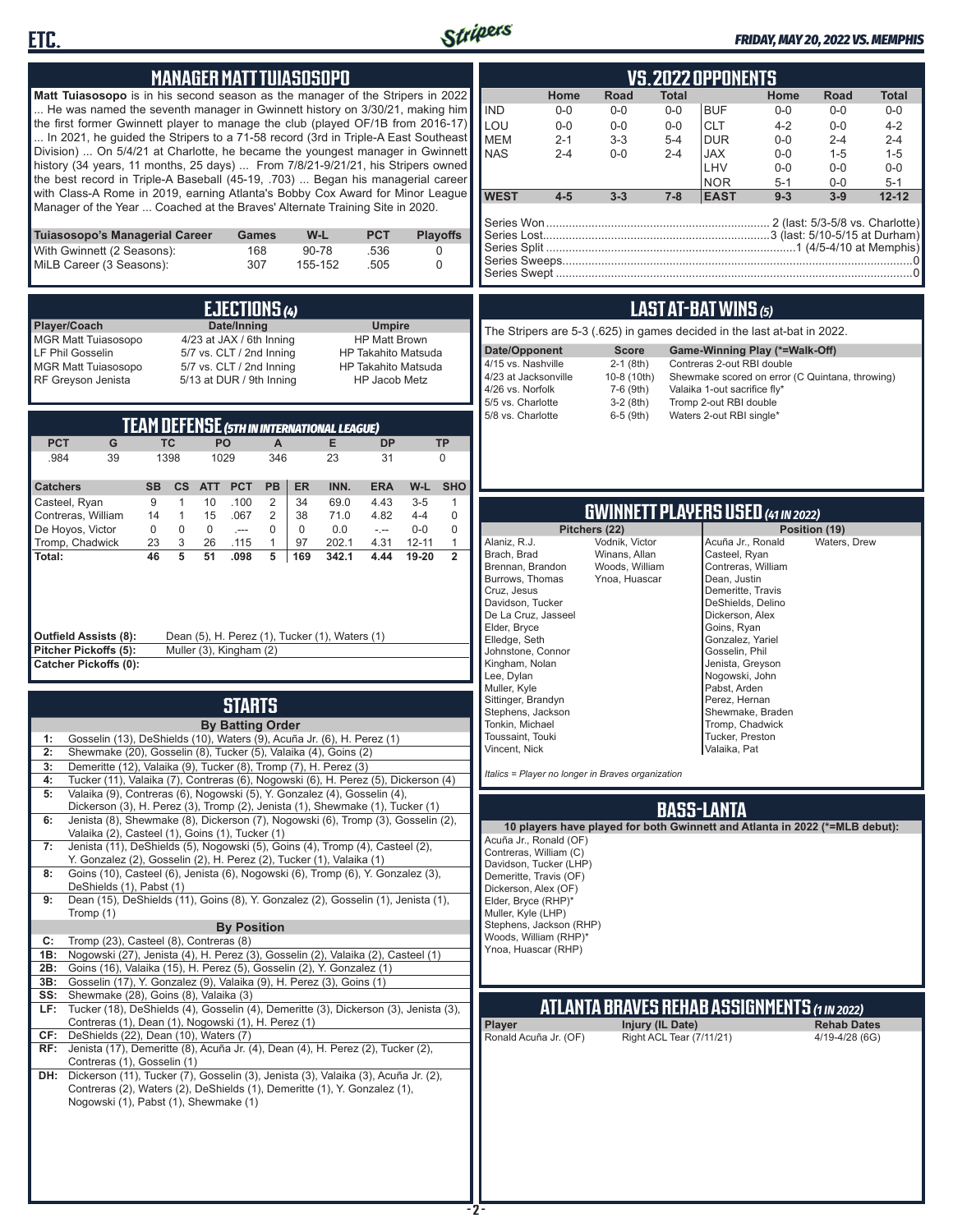



### *FRIDAY, MAY 20, 2022 VS. MEMPHIS*

| <b>MANAGER MATT TUIASOSOPO</b><br><b>VS.2022 OPPONENTS</b><br>Matt Tuiasosopo is in his second season as the manager of the Stripers in 2022<br>Home<br>Road<br><b>Total</b><br>He was named the seventh manager in Gwinnett history on 3/30/21, making him<br><b>IND</b><br>$0-0$<br>$0 - 0$<br><b>BUF</b><br>$0-0$<br>the first former Gwinnett player to manage the club (played OF/1B from 2016-17)<br>LOU<br><b>CLT</b><br>$0-0$<br>$0-0$<br>$0 - 0$<br>In 2021, he guided the Stripers to a 71-58 record (3rd in Triple-A East Southeast<br><b>MEM</b><br>$2 - 1$<br>$3 - 3$<br>$5 - 4$<br><b>DUR</b><br>Division)  On 5/4/21 at Charlotte, he became the youngest manager in Gwinnett<br><b>NAS</b><br>$2 - 4$<br>$2 - 4$<br><b>JAX</b><br>$0-0$<br>history (34 years, 11 months, 25 days)  From 7/8/21-9/21/21, his Stripers owned<br>LHV<br>the best record in Triple-A Baseball (45-19, .703)  Began his managerial career<br><b>NOR</b><br>with Class-A Rome in 2019, earning Atlanta's Bobby Cox Award for Minor League<br><b>WEST</b><br>$4 - 5$<br>$3 - 3$<br>$7 - 8$<br><b>EAST</b><br>Manager of the Year  Coached at the Braves' Alternate Training Site in 2020.<br>Tuiasosopo's Managerial Career<br>W-L<br><b>PCT</b><br><b>Playoffs</b><br><b>Games</b><br>With Gwinnett (2 Seasons):<br>90-78<br>.536<br>168<br>0<br>MiLB Career (3 Seasons):<br>307<br>155-152<br>.505<br>$\Omega$<br><b>LAST AT-BAT WINS (5)</b><br>EJECTIONS (4)<br>Player/Coach<br>Date/Inning<br><b>Umpire</b><br>The Stripers are 5-3 (.625) in games decided in the last at-bat in 2022.<br>4/23 at JAX / 6th Inning<br><b>MGR Matt Tuiasosopo</b><br><b>HP Matt Brown</b><br>Date/Opponent<br><b>Score</b><br>Game-Winning Play (*=Walk-Off)<br><b>LF Phil Gosselin</b><br>5/7 vs. CLT / 2nd Inning<br>HP Takahito Matsuda<br>4/15 vs. Nashville<br>Contreras 2-out RBI double<br>$2-1$ (8th)<br>5/7 vs. CLT / 2nd Inning<br>HP Takahito Matsuda<br><b>MGR Matt Tuiasosopo</b><br>4/23 at Jacksonville<br>10-8 (10th)<br>RF Greyson Jenista<br>5/13 at DUR / 9th Inning<br><b>HP Jacob Metz</b><br>4/26 vs. Norfolk<br>7-6 (9th)<br>Valaika 1-out sacrifice fly*<br>5/5 vs. Charlotte<br>$3-2(8th)$<br>Tromp 2-out RBI double<br>5/8 vs. Charlotte<br>6-5 (9th)<br>Waters 2-out RBI single*<br><b>TEAM DEFENSE (5TH IN INTERNATIONAL LEAGUE)</b><br><b>PCT</b><br>G<br><b>TC</b><br>PO<br>E.<br><b>DP</b><br>A<br><b>TP</b><br>1029<br>.984<br>39<br>1398<br>346<br>23<br>$\mathbf 0$<br>31<br><b>PCT</b><br><b>PB</b><br>INN.<br>W-L<br><b>SHO</b><br><b>Catchers</b><br><b>SB</b><br>$\mathsf{cs}$<br><b>ATT</b><br><b>ER</b><br><b>ERA</b><br>$\overline{2}$<br>9<br>10<br>.100<br>34<br>69.0<br>4.43<br>$3-5$<br>$\mathbf{1}$<br>Casteel, Ryan<br>$\mathbf{1}$<br><b>GWINNETT PLAYERS USED (41 IN 2022)</b><br>2<br>14<br>$\mathbf{1}$<br>15<br>.067<br>38<br>71.0<br>4.82<br>$4 - 4$<br>$\mathbf 0$<br>Contreras, William<br>$\mathbf 0$<br>$\bf 0$<br>De Hoyos, Victor<br>$\mathbf 0$<br>$\mathbf 0$<br>$\mathbf 0$<br>$\mathbf 0$<br>0.0<br>$0-0$<br>Pitchers (22)<br>$-$<br>$\sim$<br>3<br>$\mathbf{1}$<br>Alaniz, R.J.<br>Vodnik, Victor<br>Tromp, Chadwick<br>23<br>26<br>$\mathbf{1}$<br>4.31<br>$12 - 11$<br>Acuña Jr., Ronald<br>.115<br>97<br>202.1<br>Brach, Brad<br>Winans, Allan<br>Casteel, Ryan<br>46<br>5<br>51<br>5<br>19-20<br>.098<br>169<br>342.1<br>4.44<br>$\overline{2}$<br>Total:<br>Brennan, Brandon<br>Woods, William<br>Contreras, William<br>Burrows, Thomas<br>Ynoa, Huascar<br>Dean, Justin<br>Cruz, Jesus<br>Demeritte, Travis<br>Davidson, Tucker<br>DeShields, Delino<br>De La Cruz, Jasseel<br>Dickerson, Alex<br>Elder, Bryce<br>Goins, Ryan<br><b>Outfield Assists (8):</b><br>Dean (5), H. Perez (1), Tucker (1), Waters (1)<br>Elledge, Seth<br>Gonzalez, Yariel<br>Pitcher Pickoffs (5):<br>Muller (3), Kingham (2)<br>Johnstone, Connor<br>Gosselin, Phil<br>Kingham, Nolan<br><b>Catcher Pickoffs (0):</b><br>Jenista, Greyson<br>Lee, Dylan<br>Nogowski, John<br>Muller, Kyle<br>Pabst, Arden<br>Sittinger, Brandyn<br>Perez, Hernan<br><b>STARTS</b><br>Stephens, Jackson<br>Shewmake, Braden<br><b>By Batting Order</b><br>Tonkin, Michael<br>Tromp, Chadwick<br>Toussaint, Touki<br>Tucker, Preston<br>Gosselin (13), DeShields (10), Waters (9), Acuña Jr. (6), H. Perez (1)<br>1:<br>Vincent, Nick<br>Valaika, Pat | Home<br>Road<br><b>Total</b><br>$0-0$<br>$0-0$<br>$0-0$<br>$4 - 2$<br>$0-0$<br>$4 - 2$<br>$0-0$<br>$2 - 4$<br>$2 - 4$<br>$0-0$<br>$1 - 5$<br>$1 - 5$<br>$0-0$<br>$0 - 0$<br>$0-0$<br>$5 - 1$<br>$0-0$<br>$5 - 1$<br>$12 - 12$<br>$9 - 3$<br>$3-9$ |
|---------------------------------------------------------------------------------------------------------------------------------------------------------------------------------------------------------------------------------------------------------------------------------------------------------------------------------------------------------------------------------------------------------------------------------------------------------------------------------------------------------------------------------------------------------------------------------------------------------------------------------------------------------------------------------------------------------------------------------------------------------------------------------------------------------------------------------------------------------------------------------------------------------------------------------------------------------------------------------------------------------------------------------------------------------------------------------------------------------------------------------------------------------------------------------------------------------------------------------------------------------------------------------------------------------------------------------------------------------------------------------------------------------------------------------------------------------------------------------------------------------------------------------------------------------------------------------------------------------------------------------------------------------------------------------------------------------------------------------------------------------------------------------------------------------------------------------------------------------------------------------------------------------------------------------------------------------------------------------------------------------------------------------------------------------------------------------------------------------------------------------------------------------------------------------------------------------------------------------------------------------------------------------------------------------------------------------------------------------------------------------------------------------------------------------------------------------------------------------------------------------------------------------------------------------------------------------------------------------------------------------------------------------------------------------------------------------------------------------------------------------------------------------------------------------------------------------------------------------------------------------------------------------------------------------------------------------------------------------------------------------------------------------------------------------------------------------------------------------------------------------------------------------------------------------------------------------------------------------------------------------------------------------------------------------------------------------------------------------------------------------------------------------------------------------------------------------------------------------------------------------------------------------------------------------------------------------------------------------------------------------------------------------------------------------------------------------------------------------------------------------------------------------------------------------------------------------------------------------------------------------------------------------------------------------------------------------------------------------------------------------------------------------------------------------------------------------------------------------------------------------------------------------------------------------------------------------------------------------------------------------------------------------------------------------------------------------------------------------------------|---------------------------------------------------------------------------------------------------------------------------------------------------------------------------------------------------------------------------------------------------|
|                                                                                                                                                                                                                                                                                                                                                                                                                                                                                                                                                                                                                                                                                                                                                                                                                                                                                                                                                                                                                                                                                                                                                                                                                                                                                                                                                                                                                                                                                                                                                                                                                                                                                                                                                                                                                                                                                                                                                                                                                                                                                                                                                                                                                                                                                                                                                                                                                                                                                                                                                                                                                                                                                                                                                                                                                                                                                                                                                                                                                                                                                                                                                                                                                                                                                                                                                                                                                                                                                                                                                                                                                                                                                                                                                                                                                                                                                                                                                                                                                                                                                                                                                                                                                                                                                                                                                                     |                                                                                                                                                                                                                                                   |
|                                                                                                                                                                                                                                                                                                                                                                                                                                                                                                                                                                                                                                                                                                                                                                                                                                                                                                                                                                                                                                                                                                                                                                                                                                                                                                                                                                                                                                                                                                                                                                                                                                                                                                                                                                                                                                                                                                                                                                                                                                                                                                                                                                                                                                                                                                                                                                                                                                                                                                                                                                                                                                                                                                                                                                                                                                                                                                                                                                                                                                                                                                                                                                                                                                                                                                                                                                                                                                                                                                                                                                                                                                                                                                                                                                                                                                                                                                                                                                                                                                                                                                                                                                                                                                                                                                                                                                     | Shewmake scored on error (C Quintana, throwing)                                                                                                                                                                                                   |
|                                                                                                                                                                                                                                                                                                                                                                                                                                                                                                                                                                                                                                                                                                                                                                                                                                                                                                                                                                                                                                                                                                                                                                                                                                                                                                                                                                                                                                                                                                                                                                                                                                                                                                                                                                                                                                                                                                                                                                                                                                                                                                                                                                                                                                                                                                                                                                                                                                                                                                                                                                                                                                                                                                                                                                                                                                                                                                                                                                                                                                                                                                                                                                                                                                                                                                                                                                                                                                                                                                                                                                                                                                                                                                                                                                                                                                                                                                                                                                                                                                                                                                                                                                                                                                                                                                                                                                     | Position (19)<br>Waters, Drew                                                                                                                                                                                                                     |
| 2:<br>Shewmake (20), Gosselin (8), Tucker (5), Valaika (4), Goins (2)<br>Demeritte (12), Valaika (9), Tucker (8), Tromp (7), H. Perez (3)<br>3:<br>Italics = Player no longer in Braves organization<br>Tucker (11), Valaika (7), Contreras (6), Nogowski (6), H. Perez (5), Dickerson (4)<br>4:<br>Valaika (9), Contreras (6), Nogowski (5), Y. Gonzalez (4), Gosselin (4),<br>5:<br>Dickerson (3), H. Perez (3), Tromp (2), Jenista (1), Shewmake (1), Tucker (1)<br><b>BASS-LANTA</b><br>Jenista (8), Shewmake (8), Dickerson (7), Nogowski (6), Tromp (3), Gosselin (2),<br>6:<br>10 players have played for both Gwinnett and Atlanta in 2022 (*=MLB debut):<br>Valaika (2), Casteel (1), Goins (1), Tucker (1)<br>Acuña Jr., Ronald (OF)<br>Jenista (11), DeShields (5), Nogowski (5), Goins (4), Tromp (4), Casteel (2),<br>7:<br>Contreras, William (C)<br>Y. Gonzalez (2), Gosselin (2), H. Perez (2), Tucker (1), Valaika (1)<br>Davidson, Tucker (LHP)<br>Goins (10), Casteel (6), Jenista (6), Nogowski (6), Tromp (6), Y. Gonzalez (3),<br>8:<br>Demeritte, Travis (OF)<br>DeShields (1), Pabst (1)<br>Dickerson, Alex (OF)<br>Dean (15), DeShields (11), Goins (8), Y. Gonzalez (2), Gosselin (1), Jenista (1),<br>9:<br>Elder, Bryce (RHP)*<br>Muller, Kyle (LHP)<br>Tromp (1)<br>Stephens, Jackson (RHP)<br><b>By Position</b><br>Woods, William (RHP)*<br>Tromp (23), Casteel (8), Contreras (8)<br>C:<br>Ynoa, Huascar (RHP)<br>Nogowski (27), Jenista (4), H. Perez (3), Gosselin (2), Valaika (2), Casteel (1)<br>1B:<br>Goins (16), Valaika (15), H. Perez (5), Gosselin (2), Y. Gonzalez (1)<br>2B:<br>3B:<br>Gosselin (17), Y. Gonzalez (9), Valaika (9), H. Perez (3), Goins (1)<br>SS: Shewmake (28), Goins (8), Valaika (3)<br>ATLANTA BRAVES REHAB ASSIGNMENTS (1 IN 2022)<br>Tucker (18), DeShields (4), Gosselin (4), Demeritte (3), Dickerson (3), Jenista (3),<br>LF:<br>Contreras (1), Dean (1), Nogowski (1), H. Perez (1)<br>Player<br>Injury (IL Date)<br>CF: DeShields (22), Dean (10), Waters (7)<br>Ronald Acuña Jr. (OF)<br>Right ACL Tear (7/11/21)<br><b>RF:</b> Jenista (17), Demeritte (8), Acuña Jr. (4), Dean (4), H. Perez (2), Tucker (2),<br>Contreras (1), Gosselin (1)<br>DH: Dickerson (11), Tucker (7), Gosselin (3), Jenista (3), Valaika (3), Acuña Jr. (2),<br>Contreras (2), Waters (2), DeShields (1), Demeritte (1), Y. Gonzalez (1),<br>Nogowski (1), Pabst (1), Shewmake (1)                                                                                                                                                                                                                                                                                                                                                                                                                                                                                                                                                                                                                                                                                                                                                                                                                                                                                                                                                                                                                                                                                                                                                                                                                                                                                                                                                                                                                                                                                                                                                                                                                                                                                                                                                                                                                                                                                                                            | <b>Rehab Dates</b><br>4/19-4/28 (6G)                                                                                                                                                                                                              |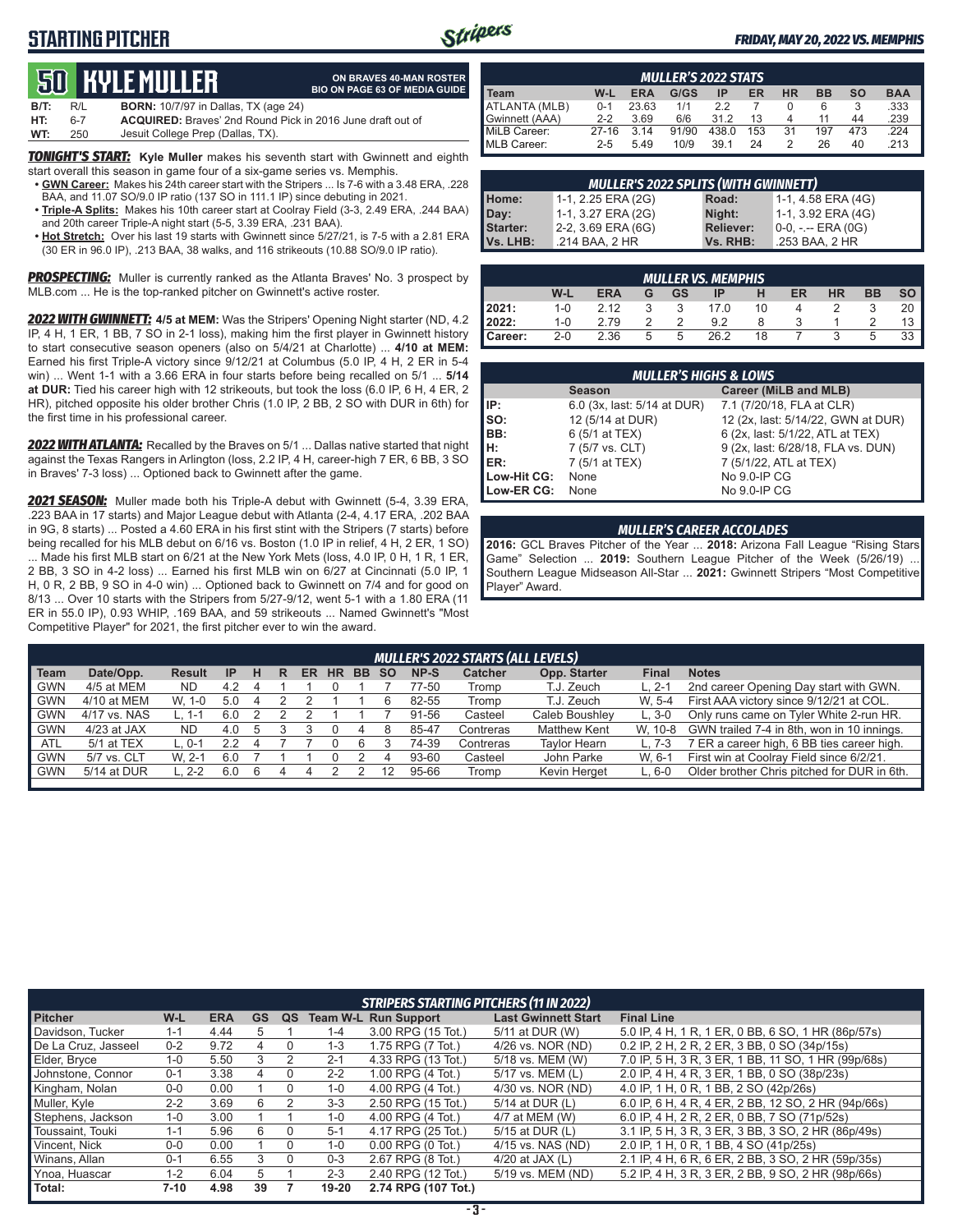# **STARTING PITCHER**



**ON BRAVES 40-MAN ROSTER BIO ON PAGE 63 OF MEDIA GUIDE**

### *FRIDAY, MAY 20, 2022 VS. MEMPHIS*

# **50****KYLE Muller**

| B/T: | R/L | <b>BORN:</b> 10/7/97 in Dallas, TX (age 24)                       |
|------|-----|-------------------------------------------------------------------|
| HT:  | հ-7 | <b>ACQUIRED:</b> Braves' 2nd Round Pick in 2016 June draft out of |
| WT:  | 250 | Jesuit College Prep (Dallas, TX).                                 |

*TONIGHT'S START:* **Kyle Muller** makes his seventh start with Gwinnett and eighth start overall this season in game four of a six-game series vs. Memphis.

- **• GWN Career:** Makes his 24th career start with the Stripers ... Is 7-6 with a 3.48 ERA, .228 BAA, and 11.07 SO/9.0 IP ratio (137 SO in 111.1 IP) since debuting in 2021.
- **• Triple-A Splits:** Makes his 10th career start at Coolray Field (3-3, 2.49 ERA, .244 BAA) and 20th career Triple-A night start (5-5, 3.39 ERA, .231 BAA).
- **• Hot Stretch:** Over his last 19 starts with Gwinnett since 5/27/21, is 7-5 with a 2.81 ERA (30 ER in 96.0 IP), .213 BAA, 38 walks, and 116 strikeouts (10.88 SO/9.0 IP ratio).

*PROSPECTING:* Muller is currently ranked as the Atlanta Braves' No. 3 prospect by MLB.com ... He is the top-ranked pitcher on Gwinnett's active roster.

*2022 WITH GWINNETT:* **4/5 at MEM:** Was the Stripers' Opening Night starter (ND, 4.2 IP, 4 H, 1 ER, 1 BB, 7 SO in 2-1 loss), making him the first player in Gwinnett history to start consecutive season openers (also on 5/4/21 at Charlotte) ... **4/10 at MEM:** Earned his first Triple-A victory since 9/12/21 at Columbus (5.0 IP, 4 H, 2 ER in 5-4 win) ... Went 1-1 with a 3.66 ERA in four starts before being recalled on 5/1 ... **5/14 at DUR:** Tied his career high with 12 strikeouts, but took the loss (6.0 IP, 6 H, 4 ER, 2 HR), pitched opposite his older brother Chris (1.0 IP, 2 BB, 2 SO with DUR in 6th) for the first time in his professional career.

*2022 WITH ATLANTA:* Recalled by the Braves on 5/1 ... Dallas native started that night against the Texas Rangers in Arlington (loss, 2.2 IP, 4 H, career-high 7 ER, 6 BB, 3 SO in Braves' 7-3 loss) ... Optioned back to Gwinnett after the game.

*2021 SEASON:* Muller made both his Triple-A debut with Gwinnett (5-4, 3.39 ERA, .223 BAA in 17 starts) and Major League debut with Atlanta (2-4, 4.17 ERA, .202 BAA in 9G, 8 starts) ... Posted a 4.60 ERA in his first stint with the Stripers (7 starts) before being recalled for his MLB debut on 6/16 vs. Boston (1.0 IP in relief, 4 H, 2 ER, 1 SO) ... Made his first MLB start on 6/21 at the New York Mets (loss, 4.0 IP, 0 H, 1 R, 1 ER, 2 BB, 3 SO in 4-2 loss) ... Earned his first MLB win on 6/27 at Cincinnati (5.0 IP, 1 H, 0 R, 2 BB, 9 SO in 4-0 win) ... Optioned back to Gwinnett on 7/4 and for good on 8/13 ... Over 10 starts with the Stripers from 5/27-9/12, went 5-1 with a 1.80 ERA (11 ER in 55.0 IP), 0.93 WHIP, .169 BAA, and 59 strikeouts ... Named Gwinnett's "Most Competitive Player" for 2021, the first pitcher ever to win the award.

| <b>MULLER'S 2022 STATS</b> |         |            |       |       |     |           |           |           |            |
|----------------------------|---------|------------|-------|-------|-----|-----------|-----------|-----------|------------|
| I Team                     | W-L     | <b>ERA</b> | G/GS  | ΙP    | ER  | <b>HR</b> | <b>BB</b> | <b>SO</b> | <b>BAA</b> |
| ATLANTA (MLB)              | $0 - 1$ | 23.63      | 1/1   | 2.2   |     |           | 6         |           | .333       |
| Gwinnett (AAA)             | $2 - 2$ | 3.69       | 6/6   | 312   | 13  |           | 11        | 44        | .239       |
| MiLB Career:               | $27-16$ | 3.14       | 91/90 | 438.0 | 153 | 31        | 197       | 473       | .224       |
| MLB Career:                | $2 - 5$ | 5.49       | 10/9  | 39.1  | 24  |           | 26        | 40        | .213       |

| <b>MULLER'S 2022 SPLITS (WITH GWINNETT)</b> |                    |                  |                    |  |  |  |  |  |
|---------------------------------------------|--------------------|------------------|--------------------|--|--|--|--|--|
| Home:                                       | 1-1, 2.25 ERA (2G) | Road:            | 1-1, 4.58 ERA (4G) |  |  |  |  |  |
| Day:                                        | 1-1, 3.27 ERA (2G) | Night:           | 1-1, 3.92 ERA (4G) |  |  |  |  |  |
| <b>Starter:</b>                             | 2-2, 3.69 ERA (6G) | <b>Reliever:</b> | 0-0, -.-- ERA (0G) |  |  |  |  |  |
| Vs. LHB:                                    | .214 BAA, 2 HR     | Vs. RHB:         | .253 BAA, 2 HR     |  |  |  |  |  |

| <b>MULLER VS. MEMPHIS</b> |         |            |   |           |      |    |    |           |           |                 |
|---------------------------|---------|------------|---|-----------|------|----|----|-----------|-----------|-----------------|
|                           | W-L     | <b>ERA</b> | G | <b>GS</b> | ΙP   | н  | ER | <b>HR</b> | <b>BB</b> | so I            |
| 2021:<br>2022:            | $1 - 0$ | 2.12       |   | 3         | 17.0 | 10 |    |           |           | 20              |
|                           | $1 - 0$ | 2.79       |   | っ         | 9.2  |    |    |           |           | 13 <sup>1</sup> |
| Career:                   | $2 - 0$ | 2.36       | 5 | 5         | 26.2 | 18 |    |           | 5         | $33 \parallel$  |

| <b>MULLER'S HIGHS &amp; LOWS</b> |                             |                                    |  |  |  |  |  |
|----------------------------------|-----------------------------|------------------------------------|--|--|--|--|--|
|                                  | <b>Season</b>               | Career (MiLB and MLB)              |  |  |  |  |  |
| IIP:                             | 6.0 (3x, last: 5/14 at DUR) | 7.1 (7/20/18, FLA at CLR)          |  |  |  |  |  |
| Iso:                             | 12 (5/14 at DUR)            | 12 (2x, last: 5/14/22, GWN at DUR) |  |  |  |  |  |
| BB:                              | 6 (5/1 at TEX)              | 6 (2x, last: 5/1/22, ATL at TEX)   |  |  |  |  |  |
| Iн:                              | 7 (5/7 vs. CLT)             | 9 (2x, last: 6/28/18, FLA vs. DUN) |  |  |  |  |  |
| <b>IER:</b>                      | 7 (5/1 at TEX)              | 7 (5/1/22, ATL at TEX)             |  |  |  |  |  |
| Low-Hit CG:                      | None                        | No 9.0-IP CG                       |  |  |  |  |  |
| Low-ER CG:                       | None                        | No 9.0-IP CG                       |  |  |  |  |  |

#### *MULLER'S CAREER ACCOLADES*

**2016:** GCL Braves Pitcher of the Year ... **2018:** Arizona Fall League "Rising Stars Game" Selection ... **2019:** Southern League Pitcher of the Week (5/26/19) ... Southern League Midseason All-Star ... **2021:** Gwinnett Stripers "Most Competitive Player" Award.

|            | MULLER'S 2022 STARTS (ALL LEVELS) |               |     |  |   |    |           |           |           |       |                |                     |              |                                             |
|------------|-----------------------------------|---------------|-----|--|---|----|-----------|-----------|-----------|-------|----------------|---------------------|--------------|---------------------------------------------|
| Team       | Date/Opp.                         | <b>Result</b> | -IP |  | R | ER | <b>HR</b> | <b>BB</b> | <b>SO</b> | NP-S  | <b>Catcher</b> | Opp. Starter        | <b>Final</b> | <b>Notes</b>                                |
| GWN        | 4/5 at MEM                        | <b>ND</b>     | 4.2 |  |   |    |           |           |           | 77-50 | Tromp          | T.J. Zeuch          | $L. 2-1$     | 2nd career Opening Day start with GWN.      |
| <b>GWN</b> | 4/10 at MEM                       | W. 1-0        | 5.0 |  |   |    |           |           |           | 82-55 | Tromp          | T.J. Zeuch          | W. 5-4       | First AAA victory since 9/12/21 at COL.     |
| <b>GWN</b> | 4/17 vs. NAS                      | 1-1           |     |  |   |    |           |           |           | 91-56 | Casteel        | Caleb Boushlev      | $L.3-0$      | Only runs came on Tyler White 2-run HR.     |
| <b>GWN</b> | $4/23$ at JAX                     | ND.           | 4.0 |  |   |    |           |           |           | 85-47 | Contreras      | <b>Matthew Kent</b> | W. 10-8      | GWN trailed 7-4 in 8th, won in 10 innings.  |
| <b>ATL</b> | 5/1 at TEX                        | $0 - 1$       |     |  |   |    |           | 6         |           | 74-39 | Contreras      | <b>Taylor Hearn</b> | L. 7-3       | 7 ER a career high, 6 BB ties career high.  |
| <b>GWN</b> | 5/7 vs. CLT                       | W. 2-1        | 6.0 |  |   |    |           |           |           | 93-60 | Casteel        | John Parke          | W. 6-1       | First win at Coolray Field since 6/2/21.    |
| <b>GWN</b> | 5/14 at DUR                       | $2-2$         | 6.0 |  |   |    |           |           |           | 95-66 | Tromp          | Kevin Herget        | L. 6-0       | Older brother Chris pitched for DUR in 6th. |
|            |                                   |               |     |  |   |    |           |           |           |       |                |                     |              |                                             |

|                     | <b>STRIPERS STARTING PITCHERS (11 IN 2022)</b> |            |    |    |         |                             |                            |                                                     |  |  |  |
|---------------------|------------------------------------------------|------------|----|----|---------|-----------------------------|----------------------------|-----------------------------------------------------|--|--|--|
| <b>Pitcher</b>      | $W-L$                                          | <b>ERA</b> | GS | QS |         | <b>Team W-L Run Support</b> | <b>Last Gwinnett Start</b> | <b>Final Line</b>                                   |  |  |  |
| Davidson, Tucker    | $1 - 1$                                        | 4.44       | 5  |    | $1 - 4$ | 3.00 RPG (15 Tot.)          | 5/11 at DUR (W)            | 5.0 IP, 4 H, 1 R, 1 ER, 0 BB, 6 SO, 1 HR (86p/57s)  |  |  |  |
| De La Cruz, Jasseel | $0 - 2$                                        | 9.72       | 4  |    | $1 - 3$ | 1.75 RPG (7 Tot.)           | 4/26 vs. NOR (ND)          | 0.2 IP, 2 H, 2 R, 2 ER, 3 BB, 0 SO (34p/15s)        |  |  |  |
| Elder, Bryce        | $1 - 0$                                        | 5.50       | 3  |    | $2 - 1$ | 4.33 RPG (13 Tot.)          | 5/18 vs. MEM (W)           | 7.0 IP, 5 H, 3 R, 3 ER, 1 BB, 11 SO, 1 HR (99p/68s) |  |  |  |
| Johnstone, Connor   | $0 - 1$                                        | 3.38       | 4  | 0  | $2 - 2$ | 1.00 RPG (4 Tot.)           | 5/17 vs. MEM (L)           | 2.0 IP, 4 H, 4 R, 3 ER, 1 BB, 0 SO (38p/23s)        |  |  |  |
| Kingham, Nolan      | $0 - 0$                                        | 0.00       |    | 0  | $1 - 0$ | 4.00 RPG (4 Tot.)           | 4/30 vs. NOR (ND)          | 4.0 IP, 1 H, 0 R, 1 BB, 2 SO (42p/26s)              |  |  |  |
| Muller, Kyle        | $2 - 2$                                        | 3.69       | 6  |    | $3-3$   | 2.50 RPG (15 Tot.)          | 5/14 at DUR (L)            | 6.0 IP, 6 H, 4 R, 4 ER, 2 BB, 12 SO, 2 HR (94p/66s) |  |  |  |
| Stephens, Jackson   | $1 - 0$                                        | 3.00       |    |    | $1 - 0$ | 4.00 RPG (4 Tot.)           | 4/7 at MEM (W)             | 6.0 IP, 4 H, 2 R, 2 ER, 0 BB, 7 SO (71p/52s)        |  |  |  |
| Toussaint, Touki    | $1 - 1$                                        | 5.96       | 6  |    | $5-1$   | 4.17 RPG (25 Tot.)          | 5/15 at DUR (L)            | 3.1 IP, 5 H, 3 R, 3 ER, 3 BB, 3 SO, 2 HR (86p/49s)  |  |  |  |
| Vincent, Nick       | $0-0$                                          | 0.00       |    |    | $1 - 0$ | $0.00$ RPG $(0$ Tot.)       | 4/15 vs. NAS (ND)          | 2.0 IP, 1 H, 0 R, 1 BB, 4 SO (41p/25s)              |  |  |  |
| Winans, Allan       | $0 - 1$                                        | 6.55       | 3  |    | $0 - 3$ | 2.67 RPG (8 Tot.)           | 4/20 at JAX $(L)$          | 2.1 IP, 4 H, 6 R, 6 ER, 2 BB, 3 SO, 2 HR (59p/35s)  |  |  |  |
| Ynoa, Huascar       | $1 - 2$                                        | 6.04       | 5  |    | $2 - 3$ | 2.40 RPG (12 Tot.)          | 5/19 vs. MEM (ND)          | 5.2 IP, 4 H, 3 R, 3 ER, 2 BB, 9 SO, 2 HR (98p/66s)  |  |  |  |
| Total:              | 7-10                                           | 4.98       | 39 |    | 19-20   | 2.74 RPG (107 Tot.)         |                            |                                                     |  |  |  |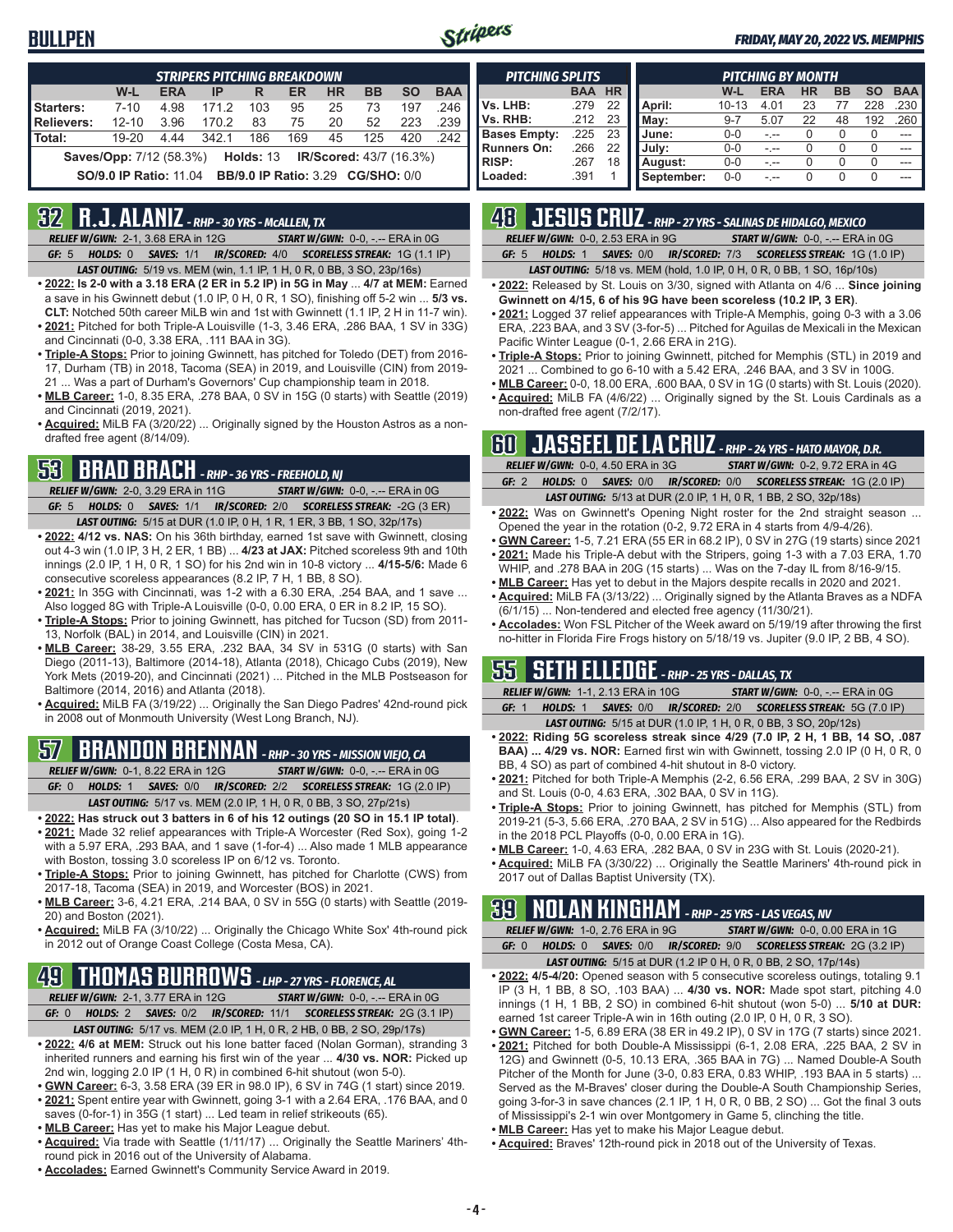### **BULLPEN**



#### *FRIDAY, MAY 20, 2022 VS. MEMPHIS*

| <b>STRIPERS PITCHING BREAKDOWN</b>                                                   |           |            |       |     |           |           |           |           |            |
|--------------------------------------------------------------------------------------|-----------|------------|-------|-----|-----------|-----------|-----------|-----------|------------|
|                                                                                      | $W-L$     | <b>ERA</b> | IP    | R   | <b>ER</b> | <b>HR</b> | <b>BB</b> | <b>SO</b> | <b>BAA</b> |
| Starters:                                                                            | $7 - 10$  | 4.98       | 171.2 | 103 | 95        | 25        | 73        | 197       | .246       |
| <b>Relievers:</b>                                                                    | $12 - 10$ | 3.96       | 170.2 | 83  | 75        | 20        | 52        | 223       | .239       |
| Total:                                                                               | $19 - 20$ | 4.44       | 342.1 | 186 | 169       | 45        | 125       | 420       | 242        |
| <b>Saves/Opp:</b> 7/12 (58.3%)<br><b>IR/Scored:</b> 43/7 (16.3%)<br><b>Holds: 13</b> |           |            |       |     |           |           |           |           |            |
| <b>BB/9.0 IP Ratio: 3.29 CG/SHO: 0/0</b><br><b>SO/9.0 IP Ratio: 11.04</b>            |           |            |       |     |           |           |           |           |            |

### **32 R.J. ALANIZ** *- RHP - 30 YRS - McALLEN, TX*

*RELIEF W/GWN:*2-1, 3.68 ERA in 12G *START W/GWN:*0-0, -.-- ERA in 0G *GF:*5 *HOLDS:*0 *SAVES:*1/1 *IR/SCORED:*4/0 *SCORELESS STREAK:*1G (1.1 IP)

- *LAST OUTING:*5/19 vs. MEM (win, 1.1 IP, 1 H, 0 R, 0 BB, 3 SO, 23p/16s) **• 2022: Is 2-0 with a 3.18 ERA (2 ER in 5.2 IP) in 5G in May** ... **4/7 at MEM:** Earned
- a save in his Gwinnett debut (1.0 IP, 0 H, 0 R, 1 SO), finishing off 5-2 win ... **5/3 vs. CLT:** Notched 50th career MiLB win and 1st with Gwinnett (1.1 IP, 2 H in 11-7 win).
- **• 2021:** Pitched for both Triple-A Louisville (1-3, 3.46 ERA, .286 BAA, 1 SV in 33G) and Cincinnati (0-0, 3.38 ERA, .111 BAA in 3G).
- **• Triple-A Stops:** Prior to joining Gwinnett, has pitched for Toledo (DET) from 2016- 17, Durham (TB) in 2018, Tacoma (SEA) in 2019, and Louisville (CIN) from 2019- 21 ... Was a part of Durham's Governors' Cup championship team in 2018.
- **• MLB Career:** 1-0, 8.35 ERA, .278 BAA, 0 SV in 15G (0 starts) with Seattle (2019) and Cincinnati (2019, 2021).
- **• Acquired:** MiLB FA (3/20/22) ... Originally signed by the Houston Astros as a nondrafted free agent (8/14/09).

### **53 BRAD BRACH** *- RHP - 36 YRS - FREEHOLD, NJ*

*RELIEF W/GWN:*2-0, 3.29 ERA in 11G *START W/GWN:*0-0, -.-- ERA in 0G *GF:*5 *HOLDS:*0 *SAVES:*1/1 *IR/SCORED:*2/0 *SCORELESS STREAK:*-2G (3 ER) *LAST OUTING:*5/15 at DUR (1.0 IP, 0 H, 1 R, 1 ER, 3 BB, 1 SO, 32p/17s)

- **• 2022: 4/12 vs. NAS:** On his 36th birthday, earned 1st save with Gwinnett, closing out 4-3 win (1.0 IP, 3 H, 2 ER, 1 BB) ... **4/23 at JAX:** Pitched scoreless 9th and 10th innings (2.0 IP, 1 H, 0 R, 1 SO) for his 2nd win in 10-8 victory ... **4/15-5/6:** Made 6 consecutive scoreless appearances (8.2 IP, 7 H, 1 BB, 8 SO).
- **• 2021:** In 35G with Cincinnati, was 1-2 with a 6.30 ERA, .254 BAA, and 1 save ... Also logged 8G with Triple-A Louisville (0-0, 0.00 ERA, 0 ER in 8.2 IP, 15 SO).
- **• Triple-A Stops:** Prior to joining Gwinnett, has pitched for Tucson (SD) from 2011- 13, Norfolk (BAL) in 2014, and Louisville (CIN) in 2021.
- **• MLB Career:** 38-29, 3.55 ERA, .232 BAA, 34 SV in 531G (0 starts) with San Diego (2011-13), Baltimore (2014-18), Atlanta (2018), Chicago Cubs (2019), New York Mets (2019-20), and Cincinnati (2021) ... Pitched in the MLB Postseason for Baltimore (2014, 2016) and Atlanta (2018).
- **• Acquired:** MiLB FA (3/19/22) ... Originally the San Diego Padres' 42nd-round pick in 2008 out of Monmouth University (West Long Branch, NJ).

# **57 BRANDON BRENNAN** *- RHP - 30 YRS - MISSION VIEJO, CA*

*RELIEF W/GWN:*0-1, 8.22 ERA in 12G *START W/GWN:*0-0, -.-- ERA in 0G *GF:*0 *HOLDS:*1 *SAVES:*0/0 *IR/SCORED:*2/2 *SCORELESS STREAK:*1G (2.0 IP)

- *LAST OUTING:*5/17 vs. MEM (2.0 IP, 1 H, 0 R, 0 BB, 3 SO, 27p/21s)
- **• 2022: Has struck out 3 batters in 6 of his 12 outings (20 SO in 15.1 IP total)**. **• 2021:** Made 32 relief appearances with Triple-A Worcester (Red Sox), going 1-2 with a 5.97 ERA, .293 BAA, and 1 save (1-for-4) ... Also made 1 MLB appearance with Boston, tossing 3.0 scoreless IP on 6/12 vs. Toronto.
- **• Triple-A Stops:** Prior to joining Gwinnett, has pitched for Charlotte (CWS) from 2017-18, Tacoma (SEA) in 2019, and Worcester (BOS) in 2021.
- **• MLB Career:** 3-6, 4.21 ERA, .214 BAA, 0 SV in 55G (0 starts) with Seattle (2019- 20) and Boston (2021).
- **• Acquired:** MiLB FA (3/10/22) ... Originally the Chicago White Sox' 4th-round pick in 2012 out of Orange Coast College (Costa Mesa, CA).

# **49 THOMAS BURROWS** *- LHP - 27 YRS - FLORENCE, AL*

*RELIEF W/GWN:*2-1, 3.77 ERA in 12G *START W/GWN:*0-0, -.-- ERA in 0G *GF:*0 *HOLDS:*2 *SAVES:*0/2 *IR/SCORED:*11/1 *SCORELESS STREAK:*2G (3.1 IP)

- *LAST OUTING:*5/17 vs. MEM (2.0 IP, 1 H, 0 R, 2 HB, 0 BB, 2 SO, 29p/17s)
- **• 2022: 4/6 at MEM:** Struck out his lone batter faced (Nolan Gorman), stranding 3 inherited runners and earning his first win of the year ... **4/30 vs. NOR:** Picked up 2nd win, logging 2.0 IP (1 H, 0 R) in combined 6-hit shutout (won 5-0).
- **• GWN Career:** 6-3, 3.58 ERA (39 ER in 98.0 IP), 6 SV in 74G (1 start) since 2019.
- **• 2021:** Spent entire year with Gwinnett, going 3-1 with a 2.64 ERA, .176 BAA, and 0 saves (0-for-1) in 35G (1 start) ... Led team in relief strikeouts (65).
- **• MLB Career:** Has yet to make his Major League debut.
- **• Acquired:** Via trade with Seattle (1/11/17) ... Originally the Seattle Mariners' 4thround pick in 2016 out of the University of Alabama.
- **• Accolades:** Earned Gwinnett's Community Service Award in 2019.

| <b>PITCHING SPLITS</b> |            |           |            |           | <b>PITCHING BY MONTH</b> |           |    |     |            |
|------------------------|------------|-----------|------------|-----------|--------------------------|-----------|----|-----|------------|
|                        | <b>BAA</b> | <b>HR</b> |            | W-L       | <b>ERA</b>               | <b>HR</b> | BB | SΟ  | <b>BAA</b> |
| Vs. LHB:               | .279       | 22        | April:     | $10 - 13$ | 4.01                     | 23        |    | 228 | .230       |
| Vs. RHB:               | .212       | 23        | Mav:       | $9 - 7$   | 5.07                     | 22        | 48 | 192 | .260       |
| <b>Bases Empty:</b>    | .225       | 23        | June:      | $0 - 0$   |                          |           |    |     |            |
| <b>Runners On:</b>     | .266       | 22        | July:      | $0 - 0$   | $ -$                     |           |    |     | ---        |
| <b>RISP:</b>           | .267       | 18        | August:    | $0 - 0$   | - --                     |           |    |     |            |
| Loaded:                | .391       |           | September: | $0 - 0$   |                          |           |    |     |            |

# **48 JESUS CRUZ** *- RHP - 27 YRS - SALINAS DE HIDALGO, MEXICO*

*RELIEF W/GWN:*0-0, 2.53 ERA in 9G *START W/GWN:*0-0, -.-- ERA in 0G

*GF:*5 *HOLDS:*1 *SAVES:*0/0 *IR/SCORED:*7/3 *SCORELESS STREAK:*1G (1.0 IP) *LAST OUTING:*5/18 vs. MEM (hold, 1.0 IP, 0 H, 0 R, 0 BB, 1 SO, 16p/10s)

- **• 2022:** Released by St. Louis on 3/30, signed with Atlanta on 4/6 ... **Since joining Gwinnett on 4/15, 6 of his 9G have been scoreless (10.2 IP, 3 ER)**.
- **• 2021:** Logged 37 relief appearances with Triple-A Memphis, going 0-3 with a 3.06 ERA, .223 BAA, and 3 SV (3-for-5) ... Pitched for Aguilas de Mexicali in the Mexican Pacific Winter League (0-1, 2.66 ERA in 21G).
- **• Triple-A Stops:** Prior to joining Gwinnett, pitched for Memphis (STL) in 2019 and 2021 ... Combined to go 6-10 with a 5.42 ERA, .246 BAA, and 3 SV in 100G.
- **• MLB Career:** 0-0, 18.00 ERA, .600 BAA, 0 SV in 1G (0 starts) with St. Louis (2020). **• Acquired:** MiLB FA (4/6/22) ... Originally signed by the St. Louis Cardinals as a
- non-drafted free agent (7/2/17).

# **60 JASSEEL DE LA CRUZ** *- RHP - 24 YRS - HATO MAYOR, D.R.*

|         | RELIEF W/GWN: 0-0, 4.50 ERA in 3G |                                                                         | <b>START W/GWN: 0-2, 9.72 ERA in 4G</b> |
|---------|-----------------------------------|-------------------------------------------------------------------------|-----------------------------------------|
| GF: $2$ |                                   | HOLDS: 0 SAVES: 0/0 IR/SCORED: 0/0 SCORELESS STREAK: 1G (2.0 IP)        |                                         |
|         |                                   | <b>LAST OUTING:</b> 5/13 at DUR (2.0 IP, 1 H, 0 R, 1 BB, 2 SO, 32p/18s) |                                         |

- **• 2022:** Was on Gwinnett's Opening Night roster for the 2nd straight season ... Opened the year in the rotation (0-2, 9.72 ERA in 4 starts from 4/9-4/26).
- **• GWN Career:** 1-5, 7.21 ERA (55 ER in 68.2 IP), 0 SV in 27G (19 starts) since 2021 **• 2021:** Made his Triple-A debut with the Stripers, going 1-3 with a 7.03 ERA, 1.70
- WHIP, and .278 BAA in 20G (15 starts) ... Was on the 7-day IL from 8/16-9/15. **• MLB Career:** Has yet to debut in the Majors despite recalls in 2020 and 2021.
- **• Acquired:** MiLB FA (3/13/22) ... Originally signed by the Atlanta Braves as a NDFA (6/1/15) ... Non-tendered and elected free agency (11/30/21).
- **• Accolades:** Won FSL Pitcher of the Week award on 5/19/19 after throwing the first no-hitter in Florida Fire Frogs history on 5/18/19 vs. Jupiter (9.0 IP, 2 BB, 4 SO).

### **55 SETH ELLEDGE** *- RHP - 25 YRS - DALLAS, TX*

*RELIEF W/GWN:*1-1, 2.13 ERA in 10G *START W/GWN:*0-0, -.-- ERA in 0G *GF:*1 *HOLDS:*1 *SAVES:*0/0 *IR/SCORED:*2/0 *SCORELESS STREAK:*5G (7.0 IP) *LAST OUTING:*5/15 at DUR (1.0 IP, 1 H, 0 R, 0 BB, 3 SO, 20p/12s)

- **• 2022: Riding 5G scoreless streak since 4/29 (7.0 IP, 2 H, 1 BB, 14 SO, .087 BAA) ... 4/29 vs. NOR:** Earned first win with Gwinnett, tossing 2.0 IP (0 H, 0 R, 0 BB, 4 SO) as part of combined 4-hit shutout in 8-0 victory.
- **• 2021:** Pitched for both Triple-A Memphis (2-2, 6.56 ERA, .299 BAA, 2 SV in 30G) and St. Louis (0-0, 4.63 ERA, .302 BAA, 0 SV in 11G).
- **• Triple-A Stops:** Prior to joining Gwinnett, has pitched for Memphis (STL) from 2019-21 (5-3, 5.66 ERA, .270 BAA, 2 SV in 51G) ... Also appeared for the Redbirds in the 2018 PCL Playoffs (0-0, 0.00 ERA in 1G).
- **• MLB Career:** 1-0, 4.63 ERA, .282 BAA, 0 SV in 23G with St. Louis (2020-21).
- **• Acquired:** MiLB FA (3/30/22) ... Originally the Seattle Mariners' 4th-round pick in 2017 out of Dallas Baptist University (TX).

# **39 NOLAN KINGHAM** *- RHP - 25 YRS - LAS VEGAS, NV*

|       | <b>RELIEF W/GWN: 1-0, 2.76 ERA in 9G</b> | <b>START W/GWN: 0-0, 0.00 ERA in 1G</b>                                |
|-------|------------------------------------------|------------------------------------------------------------------------|
| GF: 0 |                                          | HOLDS: 0 SAVES: 0/0 IR/SCORED: 9/0 SCORELESS STREAK: 2G (3.2 IP)       |
|       |                                          | <b>LAST OUTING:</b> 5/15 at DUR (1.2 IP 0 H, 0 R, 0 BB, 2 SO, 17p/14s) |

- **• 2022: 4/5-4/20:** Opened season with 5 consecutive scoreless outings, totaling 9.1 IP (3 H, 1 BB, 8 SO, .103 BAA) ... **4/30 vs. NOR:** Made spot start, pitching 4.0 innings (1 H, 1 BB, 2 SO) in combined 6-hit shutout (won 5-0) ... **5/10 at DUR:** earned 1st career Triple-A win in 16th outing (2.0 IP, 0 H, 0 R, 3 SO).
- **• GWN Career:** 1-5, 6.89 ERA (38 ER in 49.2 IP), 0 SV in 17G (7 starts) since 2021. **• 2021:** Pitched for both Double-A Mississippi (6-1, 2.08 ERA, .225 BAA, 2 SV in 12G) and Gwinnett (0-5, 10.13 ERA, .365 BAA in 7G) ... Named Double-A South
- Pitcher of the Month for June (3-0, 0.83 ERA, 0.83 WHIP, .193 BAA in 5 starts) ... Served as the M-Braves' closer during the Double-A South Championship Series, going 3-for-3 in save chances (2.1 IP, 1 H, 0 R, 0 BB, 2 SO) ... Got the final 3 outs of Mississippi's 2-1 win over Montgomery in Game 5, clinching the title.
- **• MLB Career:** Has yet to make his Major League debut.
- **• Acquired:** Braves' 12th-round pick in 2018 out of the University of Texas.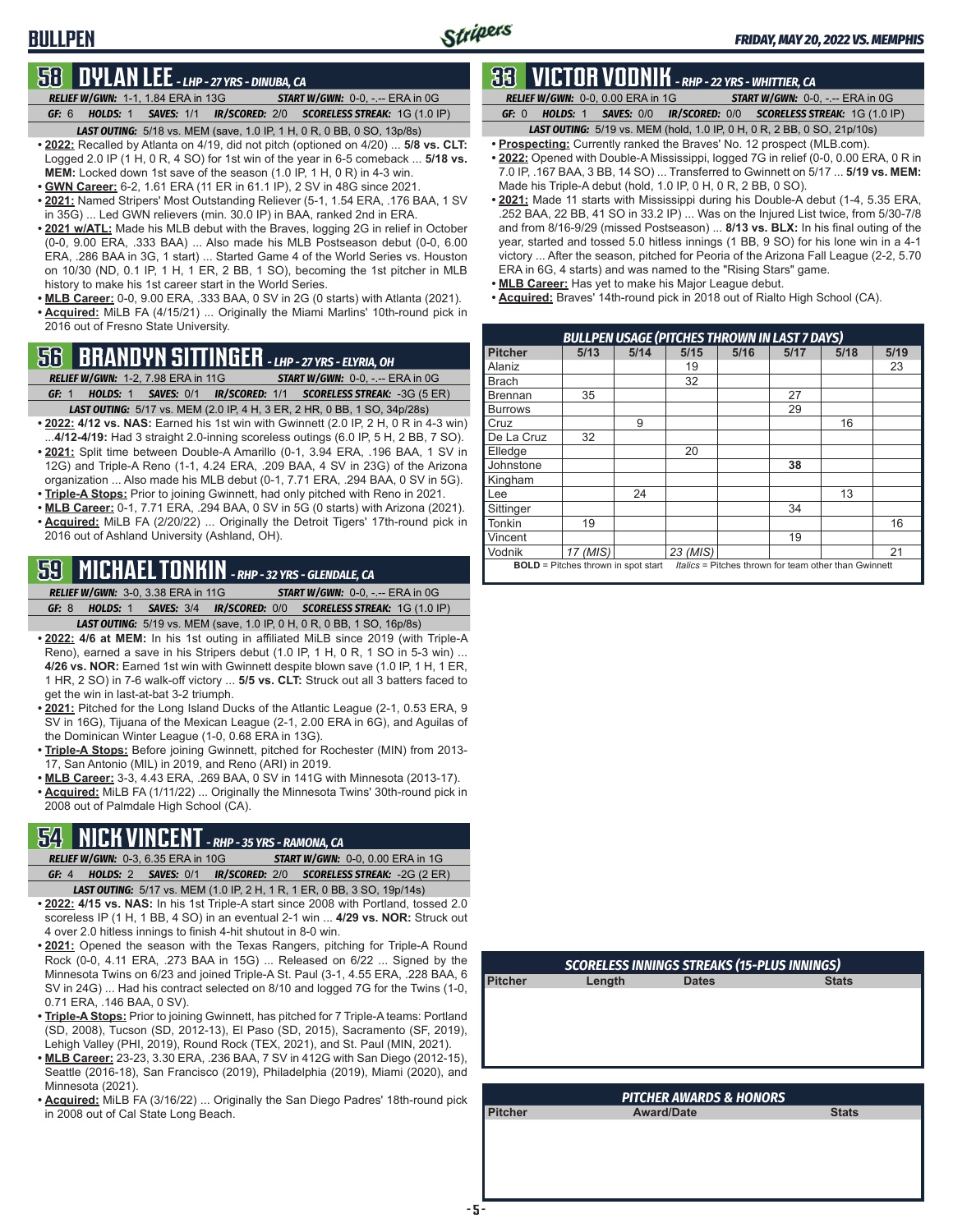# **58 DYLAN LEE** *- LHP - 27 YRS - DINUBA, CA*

**BULLPEN**

*RELIEF W/GWN:*1-1, 1.84 ERA in 13G *START W/GWN:*0-0, -.-- ERA in 0G

*GF:*6 *HOLDS:*1 *SAVES:*1/1 *IR/SCORED:*2/0 *SCORELESS STREAK:*1G (1.0 IP) *LAST OUTING:*5/18 vs. MEM (save, 1.0 IP, 1 H, 0 R, 0 BB, 0 SO, 13p/8s)

- **• 2022:** Recalled by Atlanta on 4/19, did not pitch (optioned on 4/20) ... **5/8 vs. CLT:** Logged 2.0 IP (1 H, 0 R, 4 SO) for 1st win of the year in 6-5 comeback ... **5/18 vs. MEM:** Locked down 1st save of the season (1.0 IP, 1 H, 0 R) in 4-3 win.
- **• GWN Career:** 6-2, 1.61 ERA (11 ER in 61.1 IP), 2 SV in 48G since 2021.
- **• 2021:** Named Stripers' Most Outstanding Reliever (5-1, 1.54 ERA, .176 BAA, 1 SV in 35G) ... Led GWN relievers (min. 30.0 IP) in BAA, ranked 2nd in ERA.
- **• 2021 w/ATL:** Made his MLB debut with the Braves, logging 2G in relief in October (0-0, 9.00 ERA, .333 BAA) ... Also made his MLB Postseason debut (0-0, 6.00 ERA, .286 BAA in 3G, 1 start) ... Started Game 4 of the World Series vs. Houston on 10/30 (ND, 0.1 IP, 1 H, 1 ER, 2 BB, 1 SO), becoming the 1st pitcher in MLB history to make his 1st career start in the World Series.
- **• MLB Career:** 0-0, 9.00 ERA, .333 BAA, 0 SV in 2G (0 starts) with Atlanta (2021). **• Acquired:** MiLB FA (4/15/21) ... Originally the Miami Marlins' 10th-round pick in 2016 out of Fresno State University.

# **56 BRANDYN SITTINGER** *- LHP - 27 YRS - ELYRIA, OH*

*RELIEF W/GWN:*1-2, 7.98 ERA in 11G *START W/GWN:*0-0, -.-- ERA in 0G

- *GF:*1 *HOLDS:*1 *SAVES:*0/1 *IR/SCORED:*1/1 *SCORELESS STREAK:*-3G (5 ER) *LAST OUTING:*5/17 vs. MEM (2.0 IP, 4 H, 3 ER, 2 HR, 0 BB, 1 SO, 34p/28s)
- **• 2022: 4/12 vs. NAS:** Earned his 1st win with Gwinnett (2.0 IP, 2 H, 0 R in 4-3 win) ...**4/12-4/19:** Had 3 straight 2.0-inning scoreless outings (6.0 IP, 5 H, 2 BB, 7 SO).
- **• 2021:** Split time between Double-A Amarillo (0-1, 3.94 ERA, .196 BAA, 1 SV in 12G) and Triple-A Reno (1-1, 4.24 ERA, .209 BAA, 4 SV in 23G) of the Arizona organization ... Also made his MLB debut (0-1, 7.71 ERA, .294 BAA, 0 SV in 5G).
- **• Triple-A Stops:** Prior to joining Gwinnett, had only pitched with Reno in 2021.
- **• MLB Career:** 0-1, 7.71 ERA, .294 BAA, 0 SV in 5G (0 starts) with Arizona (2021). **• Acquired:** MiLB FA (2/20/22) ... Originally the Detroit Tigers' 17th-round pick in 2016 out of Ashland University (Ashland, OH).

# **59 MICHAEL TONKIN** *- RHP - 32 YRS - GLENDALE, CA*

*RELIEF W/GWN:*3-0, 3.38 ERA in 11G *START W/GWN:*0-0, -.-- ERA in 0G *GF:*8 *HOLDS:*1 *SAVES:*3/4 *IR/SCORED:*0/0 *SCORELESS STREAK:*1G (1.0 IP)

*LAST OUTING:*5/19 vs. MEM (save, 1.0 IP, 0 H, 0 R, 0 BB, 1 SO, 16p/8s)

- **• 2022: 4/6 at MEM:** In his 1st outing in affiliated MiLB since 2019 (with Triple-A Reno), earned a save in his Stripers debut (1.0 IP, 1 H, 0 R, 1 SO in 5-3 win) ... **4/26 vs. NOR:** Earned 1st win with Gwinnett despite blown save (1.0 IP, 1 H, 1 ER, 1 HR, 2 SO) in 7-6 walk-off victory ... **5/5 vs. CLT:** Struck out all 3 batters faced to get the win in last-at-bat 3-2 triumph.
- **• 2021:** Pitched for the Long Island Ducks of the Atlantic League (2-1, 0.53 ERA, 9 SV in 16G), Tijuana of the Mexican League (2-1, 2.00 ERA in 6G), and Aguilas of the Dominican Winter League (1-0, 0.68 ERA in 13G).
- **• Triple-A Stops:** Before joining Gwinnett, pitched for Rochester (MIN) from 2013- 17, San Antonio (MIL) in 2019, and Reno (ARI) in 2019.
- **• MLB Career:** 3-3, 4.43 ERA, .269 BAA, 0 SV in 141G with Minnesota (2013-17).
- **• Acquired:** MiLB FA (1/11/22) ... Originally the Minnesota Twins' 30th-round pick in 2008 out of Palmdale High School (CA).

# **54 NICK VINCENT** *- RHP - 35 YRS - RAMONA, CA*

- *RELIEF W/GWN:*0-3, 6.35 ERA in 10G *START W/GWN:*0-0, 0.00 ERA in 1G *GF:*4 *HOLDS:*2 *SAVES:*0/1 *IR/SCORED:*2/0 *SCORELESS STREAK:*-2G (2 ER) *LAST OUTING:*5/17 vs. MEM (1.0 IP, 2 H, 1 R, 1 ER, 0 BB, 3 SO, 19p/14s)
- **• 2022: 4/15 vs. NAS:** In his 1st Triple-A start since 2008 with Portland, tossed 2.0 scoreless IP (1 H, 1 BB, 4 SO) in an eventual 2-1 win ... **4/29 vs. NOR:** Struck out 4 over 2.0 hitless innings to finish 4-hit shutout in 8-0 win.
- **• 2021:** Opened the season with the Texas Rangers, pitching for Triple-A Round Rock (0-0, 4.11 ERA, .273 BAA in 15G) ... Released on 6/22 ... Signed by the Minnesota Twins on 6/23 and joined Triple-A St. Paul (3-1, 4.55 ERA, .228 BAA, 6 SV in 24G) ... Had his contract selected on 8/10 and logged 7G for the Twins (1-0, 0.71 ERA, .146 BAA, 0 SV).
- **• Triple-A Stops:** Prior to joining Gwinnett, has pitched for 7 Triple-A teams: Portland (SD, 2008), Tucson (SD, 2012-13), El Paso (SD, 2015), Sacramento (SF, 2019), Lehigh Valley (PHI, 2019), Round Rock (TEX, 2021), and St. Paul (MIN, 2021).
- **• MLB Career:** 23-23, 3.30 ERA, .236 BAA, 7 SV in 412G with San Diego (2012-15), Seattle (2016-18), San Francisco (2019), Philadelphia (2019), Miami (2020), and Minnesota (2021).
- **• Acquired:** MiLB FA (3/16/22) ... Originally the San Diego Padres' 18th-round pick in 2008 out of Cal State Long Beach.

# **33 VICTOR VODNIK** *- RHP - 22 YRS - WHITTIER, CA*

*RELIEF W/GWN:*0-0, 0.00 ERA in 1G *START W/GWN:*0-0, -.-- ERA in 0G

*GF:*0 *HOLDS:*1 *SAVES:*0/0 *IR/SCORED:*0/0 *SCORELESS STREAK:*1G (1.0 IP) *LAST OUTING:*5/19 vs. MEM (hold, 1.0 IP, 0 H, 0 R, 2 BB, 0 SO, 21p/10s)

- **• Prospecting:** Currently ranked the Braves' No. 12 prospect (MLB.com).
- **• 2022:** Opened with Double-A Mississippi, logged 7G in relief (0-0, 0.00 ERA, 0 R in 7.0 IP, .167 BAA, 3 BB, 14 SO) ... Transferred to Gwinnett on 5/17 ... **5/19 vs. MEM:** Made his Triple-A debut (hold, 1.0 IP, 0 H, 0 R, 2 BB, 0 SO).
- **• 2021:** Made 11 starts with Mississippi during his Double-A debut (1-4, 5.35 ERA, .252 BAA, 22 BB, 41 SO in 33.2 IP) ... Was on the Injured List twice, from 5/30-7/8 and from 8/16-9/29 (missed Postseason) ... **8/13 vs. BLX:** In his final outing of the year, started and tossed 5.0 hitless innings (1 BB, 9 SO) for his lone win in a 4-1 victory ... After the season, pitched for Peoria of the Arizona Fall League (2-2, 5.70 ERA in 6G, 4 starts) and was named to the "Rising Stars" game.
- **• MLB Career:** Has yet to make his Major League debut.
- **• Acquired:** Braves' 14th-round pick in 2018 out of Rialto High School (CA).

|                | <b>BULLPEN USAGE (PITCHES THROWN IN LAST 7 DAYS)</b> |      |          |      |      |                                                       |      |  |  |  |
|----------------|------------------------------------------------------|------|----------|------|------|-------------------------------------------------------|------|--|--|--|
| <b>Pitcher</b> | 5/13                                                 | 5/14 | 5/15     | 5/16 | 5/17 | 5/18                                                  | 5/19 |  |  |  |
| Alaniz         |                                                      |      | 19       |      |      |                                                       | 23   |  |  |  |
| <b>Brach</b>   |                                                      |      | 32       |      |      |                                                       |      |  |  |  |
| <b>Brennan</b> | 35                                                   |      |          |      | 27   |                                                       |      |  |  |  |
| <b>Burrows</b> |                                                      |      |          |      | 29   |                                                       |      |  |  |  |
| Cruz           |                                                      | 9    |          |      |      | 16                                                    |      |  |  |  |
| De La Cruz     | 32                                                   |      |          |      |      |                                                       |      |  |  |  |
| Elledge        |                                                      |      | 20       |      |      |                                                       |      |  |  |  |
| Johnstone      |                                                      |      |          |      | 38   |                                                       |      |  |  |  |
| Kingham        |                                                      |      |          |      |      |                                                       |      |  |  |  |
| Lee            |                                                      | 24   |          |      |      | 13                                                    |      |  |  |  |
| Sittinger      |                                                      |      |          |      | 34   |                                                       |      |  |  |  |
| <b>Tonkin</b>  | 19                                                   |      |          |      |      |                                                       | 16   |  |  |  |
| Vincent        |                                                      |      |          |      | 19   |                                                       |      |  |  |  |
| Vodnik         | 17 (MIS)                                             |      | 23 (MIS) |      |      |                                                       | 21   |  |  |  |
|                | <b>BOLD</b> = Pitches thrown in spot start           |      |          |      |      | Italics = Pitches thrown for team other than Gwinnett |      |  |  |  |

| Length |              |              |  |  |  |  |  |  |
|--------|--------------|--------------|--|--|--|--|--|--|
|        | <b>Dates</b> | <b>Stats</b> |  |  |  |  |  |  |
|        |              |              |  |  |  |  |  |  |
|        |              |              |  |  |  |  |  |  |
|        |              |              |  |  |  |  |  |  |
|        |              |              |  |  |  |  |  |  |
|        |              |              |  |  |  |  |  |  |
|        |              |              |  |  |  |  |  |  |
|        |              |              |  |  |  |  |  |  |
|        |              |              |  |  |  |  |  |  |

| <b>PITCHER AWARDS &amp; HONORS</b> |                   |              |  |  |  |  |
|------------------------------------|-------------------|--------------|--|--|--|--|
| <b>Pitcher</b>                     | <b>Award/Date</b> | <b>Stats</b> |  |  |  |  |
|                                    |                   |              |  |  |  |  |
|                                    |                   |              |  |  |  |  |
|                                    |                   |              |  |  |  |  |
|                                    |                   |              |  |  |  |  |
|                                    |                   |              |  |  |  |  |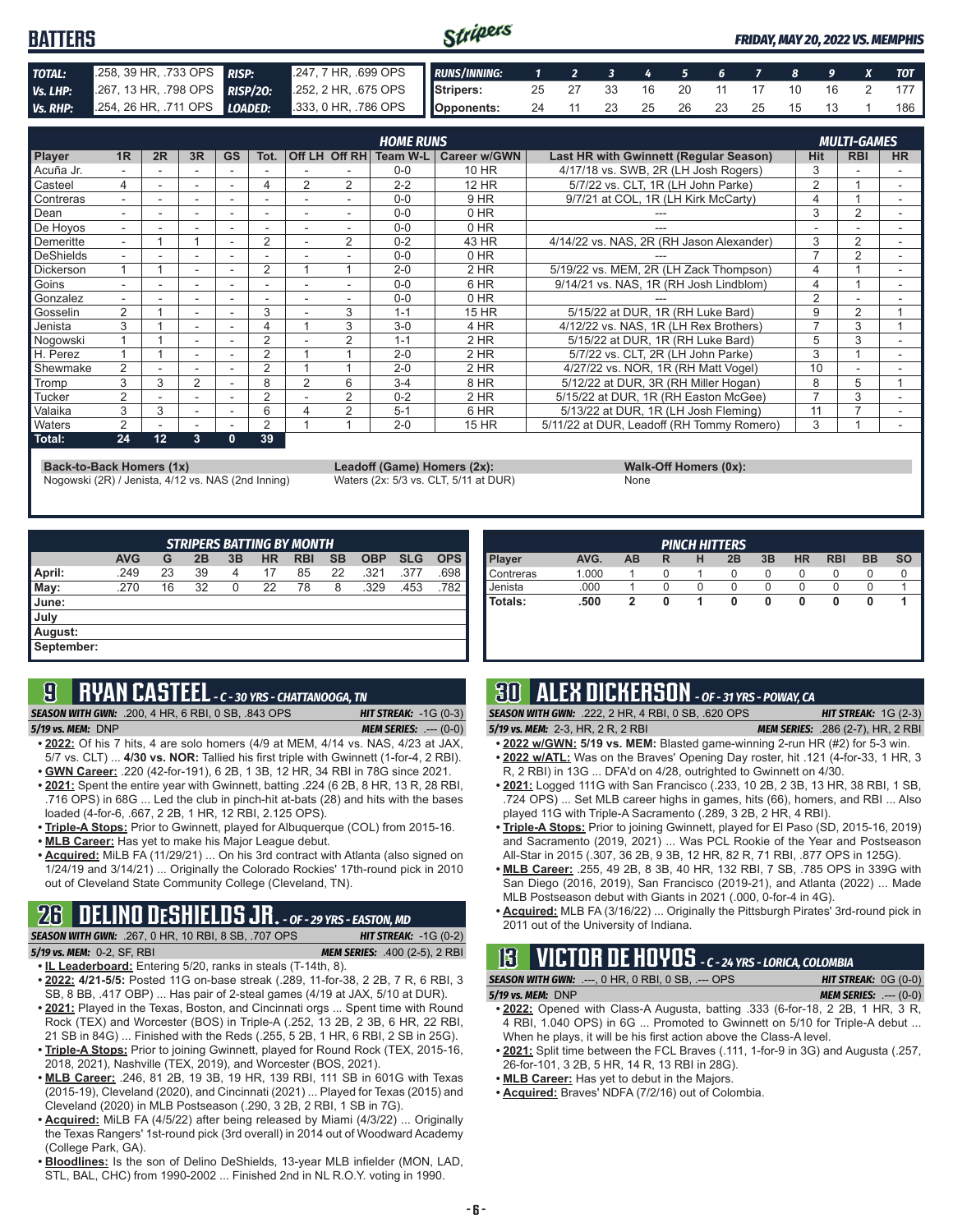#### Stripers **BATTERS** *FRIDAY, MAY 20, 2022 VS. MEMPHIS TOTAL:* .258, 39 HR, .733 OPS *RISP:* .247, 7 HR, .699 OPS *RUNS/INNING: 1 2 3 4 5 6 7 8 9 X TOT Vs. LHP:* .267, 13 HR, .798 OPS *RISP/2O:* .252, 2 HR, .675 OPS **Stripers:** 25 27 33 16 20 11 17 10 16 2 177 *Vs. RHP:* .254, 26 HR, .711 OPS *LOADED:* .333, 0 HR, .786 OPS **Opponents:** 24 11 23 25 26 23 25 15 13 1 186

|                  |                          |    |                          |           |                |                |                | <b>HOME RUNS</b> |                     |                                           |            | <b>MULTI-GAMES</b> |           |
|------------------|--------------------------|----|--------------------------|-----------|----------------|----------------|----------------|------------------|---------------------|-------------------------------------------|------------|--------------------|-----------|
| Player           | 1 <sub>R</sub>           | 2R | 3R                       | <b>GS</b> | Tot.           |                | Off LH Off RH  | Team W-L         | <b>Career w/GWN</b> | Last HR with Gwinnett (Regular Season)    | <b>Hit</b> | <b>RBI</b>         | <b>HR</b> |
| Acuña Jr.        |                          |    |                          |           |                |                |                | $0 - 0$          | 10 HR               | 4/17/18 vs. SWB, 2R (LH Josh Rogers)      | 3          |                    |           |
| Casteel          | 4                        |    | $\overline{\phantom{a}}$ |           | 4              | 2              | 2              | $2 - 2$          | 12 HR               | 5/7/22 vs. CLT. 1R (LH John Parke)        | 2          |                    |           |
| Contreras        | $\overline{\phantom{0}}$ |    | $\overline{\phantom{a}}$ |           |                |                | ۰              | $0 - 0$          | 9 HR                | 9/7/21 at COL, 1R (LH Kirk McCarty)       | 4          |                    |           |
| Dean             |                          |    |                          |           |                |                |                | $0 - 0$          | $0$ HR              |                                           | 3          | 2                  |           |
| De Hoyos         | ۰.                       |    | $\overline{\phantom{a}}$ | ٠         |                | ٠              |                | $0 - 0$          | $0$ HR              |                                           |            |                    |           |
| Demeritte        | $\overline{\phantom{0}}$ |    |                          |           | $\overline{2}$ |                | $\overline{2}$ | $0 - 2$          | 43 HR               | 4/14/22 vs. NAS, 2R (RH Jason Alexander)  | 3          | 2                  |           |
| DeShields        | ۰.                       |    |                          |           |                |                |                | $0 - 0$          | $0$ HR              |                                           | ⇁          | 2                  |           |
| <b>Dickerson</b> |                          |    | $\overline{\phantom{a}}$ |           | 2              |                |                | $2 - 0$          | $2$ HR              | 5/19/22 vs. MEM, 2R (LH Zack Thompson)    | 4          |                    |           |
| Goins            |                          |    |                          |           |                |                |                | $0 - 0$          | 6 HR                | 9/14/21 vs. NAS, 1R (RH Josh Lindblom)    | 4          |                    |           |
| Gonzalez         | ۰.                       |    | $\overline{\phantom{a}}$ |           |                |                |                | $0 - 0$          | 0 HR                |                                           | 2          |                    |           |
| Gosselin         | 2                        |    |                          |           | 3              |                | 3              | $1 - 1$          | <b>15 HR</b>        | 5/15/22 at DUR, 1R (RH Luke Bard)         | 9          | 2                  |           |
| Jenista          | 3                        |    |                          |           |                |                | 3              | $3-0$            | 4 HR                | 4/12/22 vs. NAS, 1R (LH Rex Brothers)     |            | 3                  |           |
| Nogowski         |                          |    | $\overline{\phantom{a}}$ |           | 2              |                | 2              | $1 - 1$          | $2$ HR              | 5/15/22 at DUR. 1R (RH Luke Bard)         | 5          | 3                  |           |
| H. Perez         |                          |    | $\overline{\phantom{a}}$ | ۰         | 2              |                |                | $2 - 0$          | 2 HR                | 5/7/22 vs. CLT. 2R (LH John Parke)        | 3          |                    |           |
| Shewmake         | 2                        |    |                          |           | 2              |                |                | $2 - 0$          | 2 HR                | 4/27/22 vs. NOR, 1R (RH Matt Vogel)       | 10         |                    |           |
| Tromp            | 3                        | 3  | $\overline{2}$           |           | 8              | $\overline{2}$ | 6              | $3 - 4$          | 8 HR                | 5/12/22 at DUR, 3R (RH Miller Hogan)      | 8          | 5                  |           |
| Tucker           | 2                        |    | $\overline{\phantom{a}}$ | ٠         | 2              |                | 2              | $0 - 2$          | 2 HR                | 5/15/22 at DUR, 1R (RH Easton McGee)      |            | 3                  |           |
| Valaika          | 3                        | 3  | $\overline{\phantom{a}}$ |           | 6              |                | $\overline{2}$ | $5 - 1$          | 6 HR                | 5/13/22 at DUR, 1R (LH Josh Fleming)      | 11         |                    |           |
| <b>Naters</b>    | 2                        |    | $\overline{\phantom{a}}$ |           | 2              |                |                | $2 - 0$          | 15 HR               | 5/11/22 at DUR, Leadoff (RH Tommy Romero) | 3          |                    |           |
| Total:           | 24                       | 12 | 3                        | 0         | 39             |                |                |                  |                     |                                           |            |                    |           |

**Back-to-Back Homers (1x) Leadoff (Game) Homers (2x): Walk-Off Homers (0x): Walk-Off Homers (0x): None None Walk-Off Homers (0x): Walk-Off Homers (0x): Walk-Off Homers (0x): Waters (2x: 5/3 vs. CLT, 5/11 at** Nogowski (2R) / Jenista, 4/12 vs. NAS (2nd Inning) Waters (2x: 5/3 vs. CLT, 5/11 at DUR) None

|             | $\frac{1}{2}$ |
|-------------|---------------|
| <b>None</b> |               |

| <b>STRIPERS BATTING BY MONTH</b> |            |    |    |    |           |            |           |            |            |            |
|----------------------------------|------------|----|----|----|-----------|------------|-----------|------------|------------|------------|
|                                  | <b>AVG</b> | G  | 2B | 3B | <b>HR</b> | <b>RBI</b> | <b>SB</b> | <b>OBP</b> | <b>SLG</b> | <b>OPS</b> |
| April:                           | .249       | 23 | 39 | 4  | 17        | 85         | 22        | .321       | .377       | .698       |
| $\blacksquare$ May:              | .270       | 16 | 32 | 0  | 22        | 78         | 8         | .329       | .453       | .782       |
| <b>June:</b>                     |            |    |    |    |           |            |           |            |            |            |
| July                             |            |    |    |    |           |            |           |            |            |            |
| August:                          |            |    |    |    |           |            |           |            |            |            |
| September:                       |            |    |    |    |           |            |           |            |            |            |

|--|

*SEASON WITH GWN:*.200, 4 HR, 6 RBI, 0 SB, .843 OPS *HIT STREAK:* -1G (0-3) *5/19 vs. MEM:*DNP *MEM SERIES:* .--- (0-0)

**9 RYAN CASTEEL** *- C - 30 YRS - CHATTANOOGA, TN*

- **• 2022:** Of his 7 hits, 4 are solo homers (4/9 at MEM, 4/14 vs. NAS, 4/23 at JAX, 5/7 vs. CLT) ... **4/30 vs. NOR:** Tallied his first triple with Gwinnett (1-for-4, 2 RBI).
- **• GWN Career:** .220 (42-for-191), 6 2B, 1 3B, 12 HR, 34 RBI in 78G since 2021. **• 2021:** Spent the entire year with Gwinnett, batting .224 (6 2B, 8 HR, 13 R, 28 RBI, .716 OPS) in 68G ... Led the club in pinch-hit at-bats (28) and hits with the bases
- loaded (4-for-6, .667, 2 2B, 1 HR, 12 RBI, 2.125 OPS). **• Triple-A Stops:** Prior to Gwinnett, played for Albuquerque (COL) from 2015-16.
- **• MLB Career:** Has yet to make his Major League debut.
- **• Acquired:** MiLB FA (11/29/21) ... On his 3rd contract with Atlanta (also signed on 1/24/19 and 3/14/21) ... Originally the Colorado Rockies' 17th-round pick in 2010 out of Cleveland State Community College (Cleveland, TN).

# **26 DELINO DESHIELDS JR.** *- OF - 29 YRS - EASTON, MD*

*SEASON WITH GWN:*.267, 0 HR, 10 RBI, 8 SB, .707 OPS *HIT STREAK:* -1G (0-2) *5/19 vs. MEM:*0-2, SF, RBI *MEM SERIES:* .400 (2-5), 2 RBI

- **• IL Leaderboard:** Entering 5/20, ranks in steals (T-14th, 8).
- **• 2022: 4/21-5/5:** Posted 11G on-base streak (.289, 11-for-38, 2 2B, 7 R, 6 RBI, 3 SB, 8 BB, .417 OBP) ... Has pair of 2-steal games (4/19 at JAX, 5/10 at DUR).
- **• 2021:** Played in the Texas, Boston, and Cincinnati orgs ... Spent time with Round Rock (TEX) and Worcester (BOS) in Triple-A (.252, 13 2B, 2 3B, 6 HR, 22 RBI, 21 SB in 84G) ... Finished with the Reds (.255, 5 2B, 1 HR, 6 RBI, 2 SB in 25G).
- **• Triple-A Stops:** Prior to joining Gwinnett, played for Round Rock (TEX, 2015-16, 2018, 2021), Nashville (TEX, 2019), and Worcester (BOS, 2021).
- **• MLB Career:** .246, 81 2B, 19 3B, 19 HR, 139 RBI, 111 SB in 601G with Texas (2015-19), Cleveland (2020), and Cincinnati (2021) ... Played for Texas (2015) and Cleveland (2020) in MLB Postseason (.290, 3 2B, 2 RBI, 1 SB in 7G).
- **• Acquired:** MiLB FA (4/5/22) after being released by Miami (4/3/22) ... Originally the Texas Rangers' 1st-round pick (3rd overall) in 2014 out of Woodward Academy (College Park, GA).
- **• Bloodlines:** Is the son of Delino DeShields, 13-year MLB infielder (MON, LAD, STL, BAL, CHC) from 1990-2002 ... Finished 2nd in NL R.O.Y. voting in 1990.

| <b>PINCH HITTERS</b> |       |           |   |   |    |    |           |            |           |           |
|----------------------|-------|-----------|---|---|----|----|-----------|------------|-----------|-----------|
| Player               | AVG.  | <b>AB</b> | R | н | 2B | 3B | <b>HR</b> | <b>RBI</b> | <b>BB</b> | <b>SO</b> |
| Contreras            | 1.000 |           | O |   | 0  | 0  |           | O          |           |           |
| Jenista              | .000  |           | 0 |   | 0  | 0  |           |            |           |           |
| Totals:              | .500  | 2         | 0 |   | 0  | 0  | 0         | 0          |           |           |
|                      |       |           |   |   |    |    |           |            |           |           |
|                      |       |           |   |   |    |    |           |            |           |           |

# **30 ALEX DICKERSON** *- OF - 31 YRS - POWAY, CA*

*SEASON WITH GWN:*.222, 2 HR, 4 RBI, 0 SB, .620 OPS *HIT STREAK:* 1G (2-3)

*5/19 vs. MEM:*2-3, HR, 2 R, 2 RBI *MEM SERIES:* .286 (2-7), HR, 2 RBI

- **• 2022 w/GWN: 5/19 vs. MEM:** Blasted game-winning 2-run HR (#2) for 5-3 win. **• 2022 w/ATL:** Was on the Braves' Opening Day roster, hit .121 (4-for-33, 1 HR, 3
- R, 2 RBI) in 13G ... DFA'd on 4/28, outrighted to Gwinnett on 4/30.
- **• 2021:** Logged 111G with San Francisco (.233, 10 2B, 2 3B, 13 HR, 38 RBI, 1 SB, .724 OPS) ... Set MLB career highs in games, hits (66), homers, and RBI ... Also played 11G with Triple-A Sacramento (.289, 3 2B, 2 HR, 4 RBI).
- **• Triple-A Stops:** Prior to joining Gwinnett, played for El Paso (SD, 2015-16, 2019) and Sacramento (2019, 2021) ... Was PCL Rookie of the Year and Postseason All-Star in 2015 (.307, 36 2B, 9 3B, 12 HR, 82 R, 71 RBI, .877 OPS in 125G).
- **• MLB Career:** .255, 49 2B, 8 3B, 40 HR, 132 RBI, 7 SB, .785 OPS in 339G with San Diego (2016, 2019), San Francisco (2019-21), and Atlanta (2022) ... Made MLB Postseason debut with Giants in 2021 (.000, 0-for-4 in 4G).
- **• Acquired:** MLB FA (3/16/22) ... Originally the Pittsburgh Pirates' 3rd-round pick in 2011 out of the University of Indiana.

# **13 VICTOR DE HOYOS** *- C - 24 YRS - LORICA, COLOMBIA*

*SEASON WITH GWN:*.---, 0 HR, 0 RBI, 0 SB, .--- OPS *HIT STREAK:* 0G (0-0) *5/19 vs. MEM:*DNP *MEM SERIES:* .--- (0-0)

- **• 2022:** Opened with Class-A Augusta, batting .333 (6-for-18, 2 2B, 1 HR, 3 R, 4 RBI, 1.040 OPS) in 6G ... Promoted to Gwinnett on 5/10 for Triple-A debut ... When he plays, it will be his first action above the Class-A level.
- **• 2021:** Split time between the FCL Braves (.111, 1-for-9 in 3G) and Augusta (.257, 26-for-101, 3 2B, 5 HR, 14 R, 13 RBI in 28G).
- **• MLB Career:** Has yet to debut in the Majors.
- **• Acquired:** Braves' NDFA (7/2/16) out of Colombia.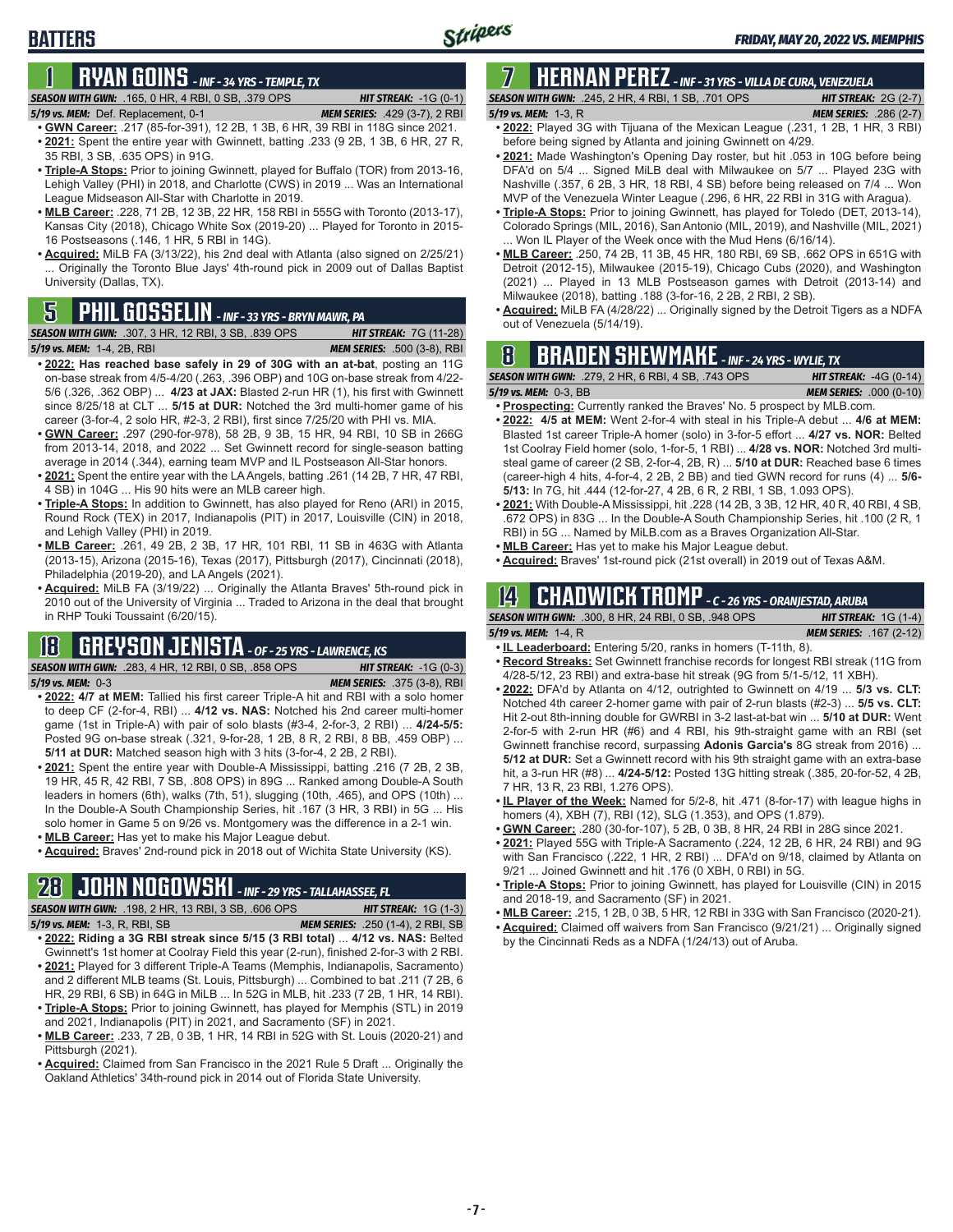# **BATTERS**

# **1 RYAN GOINS** *- INF - 34 YRS - TEMPLE, TX*

*SEASON WITH GWN:*.165, 0 HR, 4 RBI, 0 SB, .379 OPS *HIT STREAK:* -1G (0-1)

### *5/19 vs. MEM:*Def. Replacement, 0-1 *MEM SERIES:* .429 (3-7), 2 RBI

- **• GWN Career:** .217 (85-for-391), 12 2B, 1 3B, 6 HR, 39 RBI in 118G since 2021. **• 2021:** Spent the entire year with Gwinnett, batting .233 (9 2B, 1 3B, 6 HR, 27 R, 35 RBI, 3 SB, .635 OPS) in 91G.
- **• Triple-A Stops:** Prior to joining Gwinnett, played for Buffalo (TOR) from 2013-16, Lehigh Valley (PHI) in 2018, and Charlotte (CWS) in 2019 ... Was an International League Midseason All-Star with Charlotte in 2019.
- **• MLB Career:** .228, 71 2B, 12 3B, 22 HR, 158 RBI in 555G with Toronto (2013-17), Kansas City (2018), Chicago White Sox (2019-20) ... Played for Toronto in 2015- 16 Postseasons (.146, 1 HR, 5 RBI in 14G).
- **• Acquired:** MiLB FA (3/13/22), his 2nd deal with Atlanta (also signed on 2/25/21) ... Originally the Toronto Blue Jays' 4th-round pick in 2009 out of Dallas Baptist University (Dallas, TX).

# out of Venezuela (5/14/19). **5 PHIL GOSSELIN** *- INF - 33 YRS - BRYN MAWR, PA*

**SEASON WITH GWN:** .307, 3 HR, 12 RBI, 3 SB, .839 OPS *5/19 vs. MEM:*1-4, 2B, RBI *MEM SERIES:* .500 (3-8), RBI

- **• 2022: Has reached base safely in 29 of 30G with an at-bat**, posting an 11G on-base streak from 4/5-4/20 (.263, .396 OBP) and 10G on-base streak from 4/22- 5/6 (.326, .362 OBP) ... **4/23 at JAX:** Blasted 2-run HR (1), his first with Gwinnett since 8/25/18 at CLT ... **5/15 at DUR:** Notched the 3rd multi-homer game of his career (3-for-4, 2 solo HR, #2-3, 2 RBI), first since 7/25/20 with PHI vs. MIA.
- **• GWN Career:** .297 (290-for-978), 58 2B, 9 3B, 15 HR, 94 RBI, 10 SB in 266G from 2013-14, 2018, and 2022 ... Set Gwinnett record for single-season batting average in 2014 (.344), earning team MVP and IL Postseason All-Star honors.
- **• 2021:** Spent the entire year with the LA Angels, batting .261 (14 2B, 7 HR, 47 RBI, 4 SB) in 104G ... His 90 hits were an MLB career high.
- **• Triple-A Stops:** In addition to Gwinnett, has also played for Reno (ARI) in 2015, Round Rock (TEX) in 2017, Indianapolis (PIT) in 2017, Louisville (CIN) in 2018, and Lehigh Valley (PHI) in 2019.
- **• MLB Career:** .261, 49 2B, 2 3B, 17 HR, 101 RBI, 11 SB in 463G with Atlanta (2013-15), Arizona (2015-16), Texas (2017), Pittsburgh (2017), Cincinnati (2018), Philadelphia (2019-20), and LA Angels (2021).
- **• Acquired:** MiLB FA (3/19/22) ... Originally the Atlanta Braves' 5th-round pick in 2010 out of the University of Virginia ... Traded to Arizona in the deal that brought in RHP Touki Toussaint (6/20/15).

# **18 GREYSON JENISTA** *- OF - 25 YRS - LAWRENCE, KS*

*SEASON WITH GWN:*.283, 4 HR, 12 RBI, 0 SB, .858 OPS *HIT STREAK:* -1G (0-3) *5/19 vs. MEM:*0-3 *MEM SERIES:* .375 (3-8), RBI

- **• 2022: 4/7 at MEM:** Tallied his first career Triple-A hit and RBI with a solo homer to deep CF (2-for-4, RBI) ... **4/12 vs. NAS:** Notched his 2nd career multi-homer game (1st in Triple-A) with pair of solo blasts (#3-4, 2-for-3, 2 RBI) ... **4/24-5/5:**  Posted 9G on-base streak (.321, 9-for-28, 1 2B, 8 R, 2 RBI, 8 BB, .459 OBP) ... **5/11 at DUR:** Matched season high with 3 hits (3-for-4, 2 2B, 2 RBI).
- **• 2021:** Spent the entire year with Double-A Mississippi, batting .216 (7 2B, 2 3B, 19 HR, 45 R, 42 RBI, 7 SB, .808 OPS) in 89G ... Ranked among Double-A South leaders in homers (6th), walks (7th, 51), slugging (10th, .465), and OPS (10th) ... In the Double-A South Championship Series, hit .167 (3 HR, 3 RBI) in 5G ... His solo homer in Game 5 on 9/26 vs. Montgomery was the difference in a 2-1 win.
- **• MLB Career:** Has yet to make his Major League debut.
- **• Acquired:** Braves' 2nd-round pick in 2018 out of Wichita State University (KS).

# **28 JOHN NOGOWSKI** *- INF - 29 YRS - TALLAHASSEE, FL*

*SEASON WITH GWN:*.198, 2 HR, 13 RBI, 3 SB, .606 OPS *HIT STREAK:* 1G (1-3) *5/19 vs. MEM:*1-3, R, RBI, SB *MEM SERIES:* .250 (1-4), 2 RBI, SB

- **• 2022: Riding a 3G RBI streak since 5/15 (3 RBI total)** ... **4/12 vs. NAS:** Belted Gwinnett's 1st homer at Coolray Field this year (2-run), finished 2-for-3 with 2 RBI.
- **• 2021:** Played for 3 different Triple-A Teams (Memphis, Indianapolis, Sacramento) and 2 different MLB teams (St. Louis, Pittsburgh) ... Combined to bat .211 (7 2B, 6 HR, 29 RBI, 6 SB) in 64G in MiLB ... In 52G in MLB, hit .233 (7 2B, 1 HR, 14 RBI).
- **• Triple-A Stops:** Prior to joining Gwinnett, has played for Memphis (STL) in 2019 and 2021, Indianapolis (PIT) in 2021, and Sacramento (SF) in 2021.
- **• MLB Career:** .233, 7 2B, 0 3B, 1 HR, 14 RBI in 52G with St. Louis (2020-21) and Pittsburgh (2021).
- **• Acquired:** Claimed from San Francisco in the 2021 Rule 5 Draft ... Originally the Oakland Athletics' 34th-round pick in 2014 out of Florida State University.

### **7 HERNAN PEREZ** *- INF - 31 YRS - VILLA DE CURA, VENEZUELA SEASON WITH GWN:*.245, 2 HR, 4 RBI, 1 SB, .701 OPS *HIT STREAK:* 2G (2-7)

- *5/19 vs. MEM:*1-3, R *MEM SERIES:* .286 (2-7) **• 2022:** Played 3G with Tijuana of the Mexican League (.231, 1 2B, 1 HR, 3 RBI)
- before being signed by Atlanta and joining Gwinnett on 4/29. **• 2021:** Made Washington's Opening Day roster, but hit .053 in 10G before being DFA'd on 5/4 ... Signed MiLB deal with Milwaukee on 5/7 ... Played 23G with Nashville (.357, 6 2B, 3 HR, 18 RBI, 4 SB) before being released on 7/4 ... Won MVP of the Venezuela Winter League (.296, 6 HR, 22 RBI in 31G with Aragua).
- **• Triple-A Stops:** Prior to joining Gwinnett, has played for Toledo (DET, 2013-14), Colorado Springs (MIL, 2016), San Antonio (MIL, 2019), and Nashville (MIL, 2021)
- ... Won IL Player of the Week once with the Mud Hens (6/16/14). **• MLB Career:** .250, 74 2B, 11 3B, 45 HR, 180 RBI, 69 SB, .662 OPS in 651G with Detroit (2012-15), Milwaukee (2015-19), Chicago Cubs (2020), and Washington (2021) ... Played in 13 MLB Postseason games with Detroit (2013-14) and Milwaukee (2018), batting .188 (3-for-16, 2 2B, 2 RBI, 2 SB).
- **• Acquired:** MiLB FA (4/28/22) ... Originally signed by the Detroit Tigers as a NDFA

# **8 BRADEN SHEWMAKE** *- INF - 24 YRS - WYLIE, TX*

*SEASON WITH GWN:*.279, 2 HR, 6 RBI, 4 SB, .743 OPS *HIT STREAK:* -4G (0-14)

- *5/19 vs. MEM:*0-3, BB *MEM SERIES:* .000 (0-10) **• Prospecting:** Currently ranked the Braves' No. 5 prospect by MLB.com.
- **• 2022: 4/5 at MEM:** Went 2-for-4 with steal in his Triple-A debut ... **4/6 at MEM:**  Blasted 1st career Triple-A homer (solo) in 3-for-5 effort ... **4/27 vs. NOR:** Belted 1st Coolray Field homer (solo, 1-for-5, 1 RBI) ... **4/28 vs. NOR:** Notched 3rd multisteal game of career (2 SB, 2-for-4, 2B, R) ... **5/10 at DUR:** Reached base 6 times (career-high 4 hits, 4-for-4, 2 2B, 2 BB) and tied GWN record for runs (4) ... **5/6- 5/13:** In 7G, hit .444 (12-for-27, 4 2B, 6 R, 2 RBI, 1 SB, 1.093 OPS).
- 2021: With Double-A Mississippi, hit .228 (14 2B, 3 3B, 12 HR, 40 R, 40 RBI, 4 SB, .672 OPS) in 83G ... In the Double-A South Championship Series, hit .100 (2 R, 1 RBI) in 5G ... Named by MiLB.com as a Braves Organization All-Star.
- **• MLB Career:** Has yet to make his Major League debut.
- **• Acquired:** Braves' 1st-round pick (21st overall) in 2019 out of Texas A&M.

# **14 CHADWICK TROMP** *- C - 26 YRS - ORANJESTAD, ARUBA*

| <b>SEASON WITH GWN: .300. 8 HR. 24 RBI. 0 SB. .948 OPS</b> | <b>HIT STREAK:</b> $1G(1-4)$   |
|------------------------------------------------------------|--------------------------------|
| 5/19 vs. MEM: 1-4, R                                       | <b>MEM SERIES: .167 (2-12)</b> |

- **• IL Leaderboard:** Entering 5/20, ranks in homers (T-11th, 8).
- **• Record Streaks:** Set Gwinnett franchise records for longest RBI streak (11G from 4/28-5/12, 23 RBI) and extra-base hit streak (9G from 5/1-5/12, 11 XBH).
- **• 2022:** DFA'd by Atlanta on 4/12, outrighted to Gwinnett on 4/19 ... **5/3 vs. CLT:** Notched 4th career 2-homer game with pair of 2-run blasts (#2-3) ... **5/5 vs. CLT:** Hit 2-out 8th-inning double for GWRBI in 3-2 last-at-bat win ... **5/10 at DUR:** Went 2-for-5 with 2-run HR (#6) and 4 RBI, his 9th-straight game with an RBI (set Gwinnett franchise record, surpassing **Adonis Garcia's** 8G streak from 2016) ... **5/12 at DUR:** Set a Gwinnett record with his 9th straight game with an extra-base hit, a 3-run HR (#8) ... **4/24-5/12:** Posted 13G hitting streak (.385, 20-for-52, 4 2B, 7 HR, 13 R, 23 RBI, 1.276 OPS).
- **• IL Player of the Week:** Named for 5/2-8, hit .471 (8-for-17) with league highs in homers (4), XBH (7), RBI (12), SLG (1.353), and OPS (1.879).
- **• GWN Career:** .280 (30-for-107), 5 2B, 0 3B, 8 HR, 24 RBI in 28G since 2021.
- **• 2021:** Played 55G with Triple-A Sacramento (.224, 12 2B, 6 HR, 24 RBI) and 9G with San Francisco (.222, 1 HR, 2 RBI) ... DFA'd on 9/18, claimed by Atlanta on 9/21 ... Joined Gwinnett and hit .176 (0 XBH, 0 RBI) in 5G.
- **• Triple-A Stops:** Prior to joining Gwinnett, has played for Louisville (CIN) in 2015 and 2018-19, and Sacramento (SF) in 2021.
- **• MLB Career:** .215, 1 2B, 0 3B, 5 HR, 12 RBI in 33G with San Francisco (2020-21).
- **• Acquired:** Claimed off waivers from San Francisco (9/21/21) ... Originally signed by the Cincinnati Reds as a NDFA (1/24/13) out of Aruba.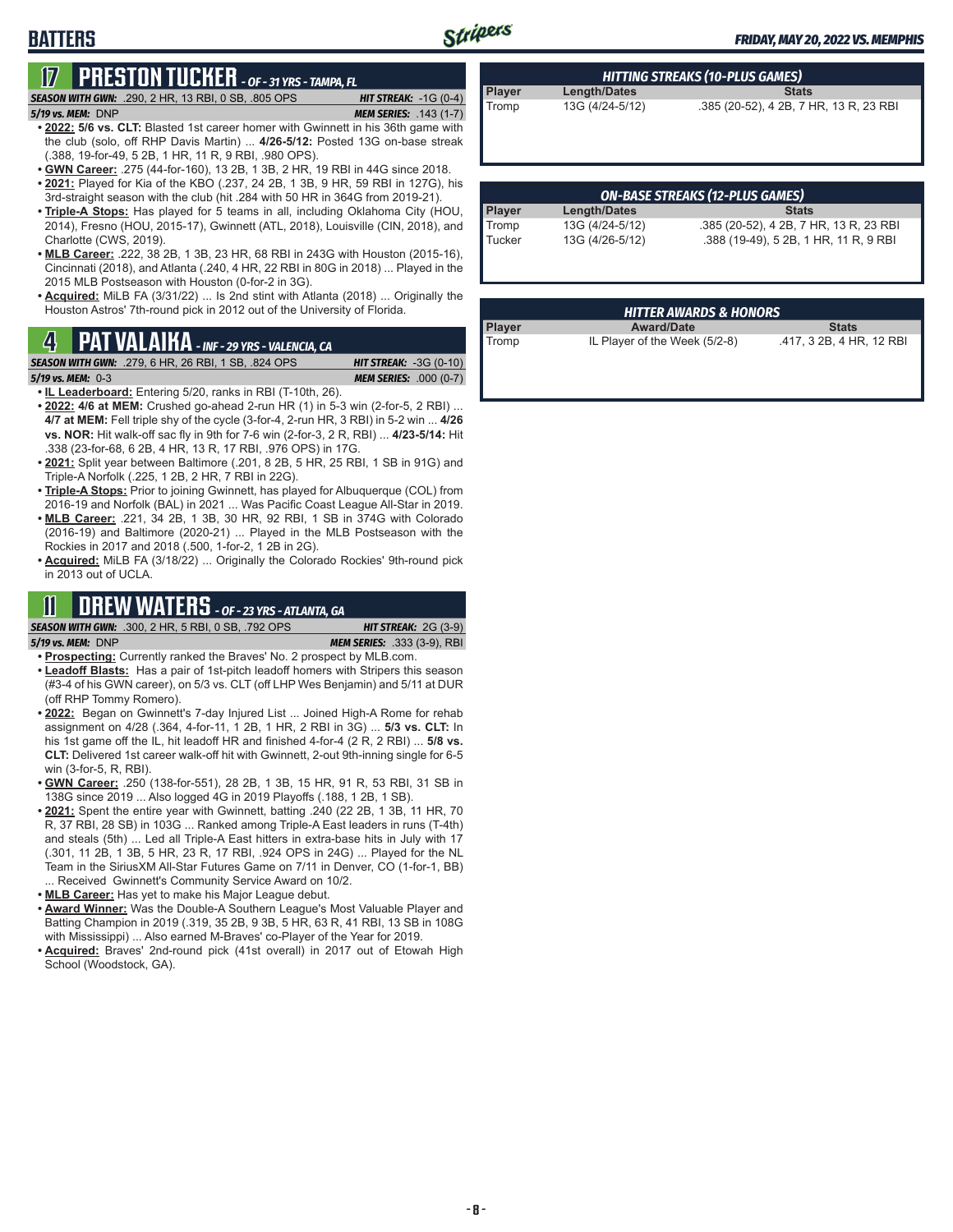# Stripers

### *FRIDAY, MAY 20, 2022 VS. MEMPHIS*

# **BATTERS**

# **17 PRESTON TUCKER** *- OF - 31 YRS - TAMPA, FL*

*SEASON WITH GWN:*.290, 2 HR, 13 RBI, 0 SB, .805 OPS *HIT STREAK:* -1G (0-4)

- *5/19 vs. MEM:*DNP *MEM SERIES:* .143 (1-7) **• 2022: 5/6 vs. CLT:** Blasted 1st career homer with Gwinnett in his 36th game with the club (solo, off RHP Davis Martin) ... **4/26-5/12:** Posted 13G on-base streak (.388, 19-for-49, 5 2B, 1 HR, 11 R, 9 RBI, .980 OPS).
- **• GWN Career:** .275 (44-for-160), 13 2B, 1 3B, 2 HR, 19 RBI in 44G since 2018.
- **• 2021:** Played for Kia of the KBO (.237, 24 2B, 1 3B, 9 HR, 59 RBI in 127G), his 3rd-straight season with the club (hit .284 with 50 HR in 364G from 2019-21).
- **• Triple-A Stops:** Has played for 5 teams in all, including Oklahoma City (HOU, 2014), Fresno (HOU, 2015-17), Gwinnett (ATL, 2018), Louisville (CIN, 2018), and Charlotte (CWS, 2019).
- **• MLB Career:** .222, 38 2B, 1 3B, 23 HR, 68 RBI in 243G with Houston (2015-16), Cincinnati (2018), and Atlanta (.240, 4 HR, 22 RBI in 80G in 2018) ... Played in the 2015 MLB Postseason with Houston (0-for-2 in 3G).
- **• Acquired:** MiLB FA (3/31/22) ... Is 2nd stint with Atlanta (2018) ... Originally the Houston Astros' 7th-round pick in 2012 out of the University of Florida.

# **Player Award/Date Stats 4** Tromp IL Player of the Week (5/2-8) .417, 3 2B, 4 HR, 12 RBI **PAT VALAIKA** *- INF - 29 YRS - VALENCIA, CA*

**SEASON WITH GWN:** .279, 6 HR, 26 RBI, 1 SB, .824 OPS

- *5/19 vs. MEM:*0-3 *MEM SERIES:* .000 (0-7)
- **• IL Leaderboard:** Entering 5/20, ranks in RBI (T-10th, 26).
- **• 2022: 4/6 at MEM:** Crushed go-ahead 2-run HR (1) in 5-3 win (2-for-5, 2 RBI) ... **4/7 at MEM:** Fell triple shy of the cycle (3-for-4, 2-run HR, 3 RBI) in 5-2 win ... **4/26 vs. NOR:** Hit walk-off sac fly in 9th for 7-6 win (2-for-3, 2 R, RBI) ... **4/23-5/14:** Hit .338 (23-for-68, 6 2B, 4 HR, 13 R, 17 RBI, .976 OPS) in 17G.
- **• 2021:** Split year between Baltimore (.201, 8 2B, 5 HR, 25 RBI, 1 SB in 91G) and Triple-A Norfolk (.225, 1 2B, 2 HR, 7 RBI in 22G).
- **• Triple-A Stops:** Prior to joining Gwinnett, has played for Albuquerque (COL) from 2016-19 and Norfolk (BAL) in 2021 ... Was Pacific Coast League All-Star in 2019.
- **• MLB Career:** .221, 34 2B, 1 3B, 30 HR, 92 RBI, 1 SB in 374G with Colorado (2016-19) and Baltimore (2020-21) ... Played in the MLB Postseason with the Rockies in 2017 and 2018 (.500, 1-for-2, 1 2B in 2G).
- **• Acquired:** MiLB FA (3/18/22) ... Originally the Colorado Rockies' 9th-round pick in 2013 out of UCLA.

# **11 DREW WATERS** *- OF - 23 YRS - ATLANTA, GA*

*SEASON WITH GWN:*.300, 2 HR, 5 RBI, 0 SB, .792 OPS *HIT STREAK:* 2G (3-9) *5/19 vs. MEM:*DNP *MEM SERIES:* .333 (3-9), RBI

- **• Prospecting:** Currently ranked the Braves' No. 2 prospect by MLB.com.
- **• Leadoff Blasts:** Has a pair of 1st-pitch leadoff homers with Stripers this season (#3-4 of his GWN career), on 5/3 vs. CLT (off LHP Wes Benjamin) and 5/11 at DUR (off RHP Tommy Romero).
- **• 2022:** Began on Gwinnett's 7-day Injured List ... Joined High-A Rome for rehab assignment on 4/28 (.364, 4-for-11, 1 2B, 1 HR, 2 RBI in 3G) ... **5/3 vs. CLT:** In his 1st game off the IL, hit leadoff HR and finished 4-for-4 (2 R, 2 RBI) ... **5/8 vs. CLT:** Delivered 1st career walk-off hit with Gwinnett, 2-out 9th-inning single for 6-5 win (3-for-5, R, RBI).
- **• GWN Career:** .250 (138-for-551), 28 2B, 1 3B, 15 HR, 91 R, 53 RBI, 31 SB in 138G since 2019 ... Also logged 4G in 2019 Playoffs (.188, 1 2B, 1 SB).
- **• 2021:** Spent the entire year with Gwinnett, batting .240 (22 2B, 1 3B, 11 HR, 70 R, 37 RBI, 28 SB) in 103G ... Ranked among Triple-A East leaders in runs (T-4th) and steals (5th) ... Led all Triple-A East hitters in extra-base hits in July with 17 (.301, 11 2B, 1 3B, 5 HR, 23 R, 17 RBI, .924 OPS in 24G) ... Played for the NL Team in the SiriusXM All-Star Futures Game on 7/11 in Denver, CO (1-for-1, BB) ... Received Gwinnett's Community Service Award on 10/2.
- **• MLB Career:** Has yet to make his Major League debut.
- **• Award Winner:** Was the Double-A Southern League's Most Valuable Player and Batting Champion in 2019 (.319, 35 2B, 9 3B, 5 HR, 63 R, 41 RBI, 13 SB in 108G with Mississippi) ... Also earned M-Braves' co-Player of the Year for 2019.
- **• Acquired:** Braves' 2nd-round pick (41st overall) in 2017 out of Etowah High School (Woodstock, GA).

| <b>HITTING STREAKS (10-PLUS GAMES)</b> |                     |                                        |  |  |
|----------------------------------------|---------------------|----------------------------------------|--|--|
| Player                                 | <b>Length/Dates</b> | <b>Stats</b>                           |  |  |
| Tromp                                  | 13G (4/24-5/12)     | .385 (20-52), 4 2B, 7 HR, 13 R, 23 RBI |  |  |

|               | <b>ON-BASE STREAKS (12-PLUS GAMES)</b> |                                        |  |  |  |  |
|---------------|----------------------------------------|----------------------------------------|--|--|--|--|
| <b>Player</b> | <b>Length/Dates</b>                    | <b>Stats</b>                           |  |  |  |  |
| Tromp         | 13G (4/24-5/12)                        | .385 (20-52), 4 2B, 7 HR, 13 R, 23 RBI |  |  |  |  |
| Tucker        | 13G (4/26-5/12)                        | .388 (19-49), 5 2B, 1 HR, 11 R, 9 RBI  |  |  |  |  |
|               |                                        |                                        |  |  |  |  |

|               | <b>HITTER AWARDS &amp; HONORS</b> |                          |
|---------------|-----------------------------------|--------------------------|
| <b>Player</b> | <b>Award/Date</b>                 | <b>Stats</b>             |
| Tromp         | IL Player of the Week (5/2-8)     | .417, 3 2B, 4 HR, 12 RBI |

**- 8 -**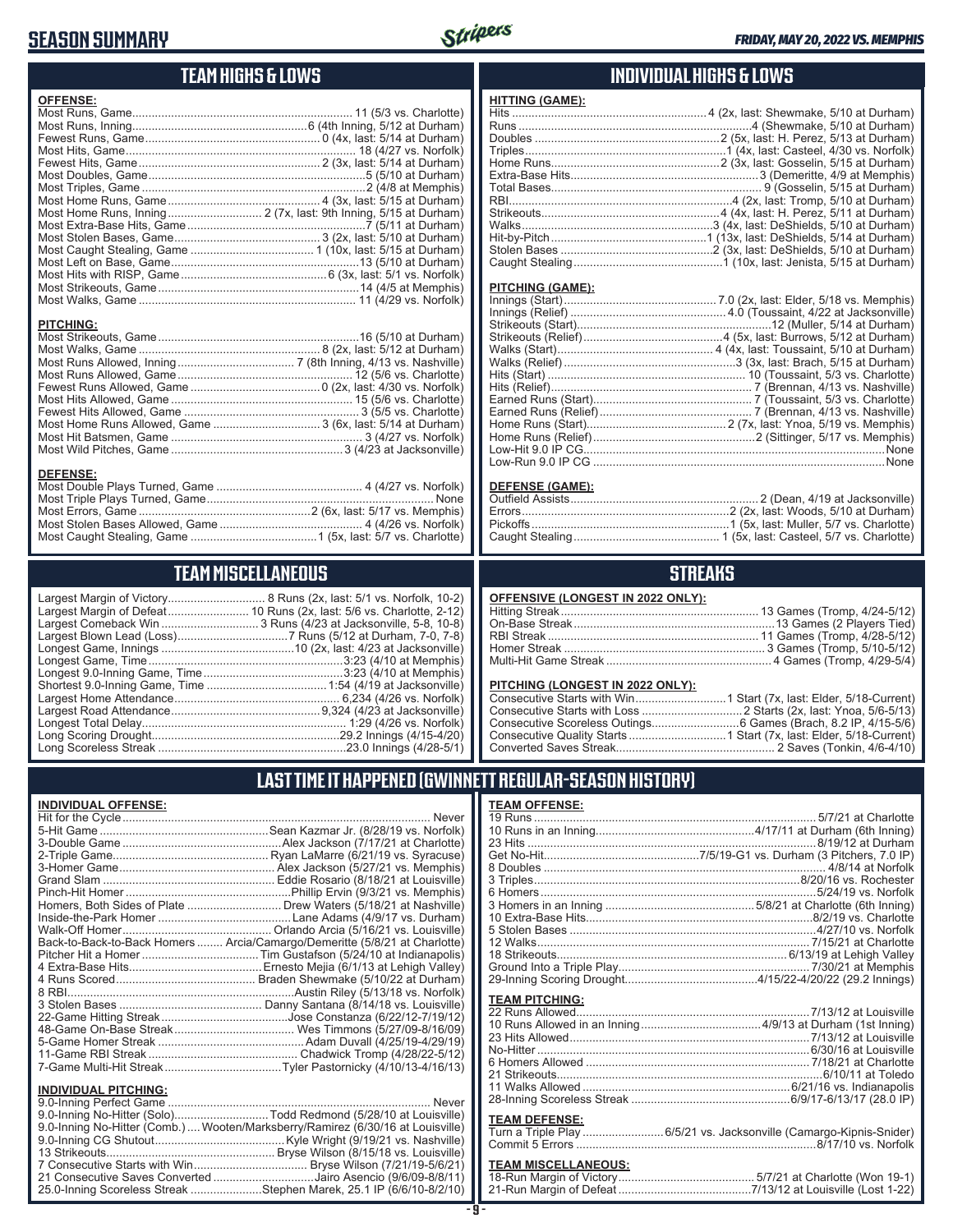# **SEASON SUMMARY**



### **TEAM HIGHS & LOWS**

| <b>OFFENSE:</b>  |  |
|------------------|--|
|                  |  |
|                  |  |
|                  |  |
|                  |  |
|                  |  |
|                  |  |
|                  |  |
|                  |  |
|                  |  |
|                  |  |
|                  |  |
|                  |  |
|                  |  |
|                  |  |
|                  |  |
|                  |  |
|                  |  |
| <b>PITCHING:</b> |  |
|                  |  |
|                  |  |

Most Runs Allowed, Inning .................................... 7 (8th Inning, 4/13 vs. Nashville) Most Runs Allowed, Game ...................................................... 12 (5/6 vs. Charlotte) Fewest Runs Allowed, Game ........................................0 (2x, last: 4/30 vs. Norfolk) Most Hits Allowed, Game ........................................................ 15 (5/6 vs. Charlotte) Fewest Hits Allowed, Game ...................................................... 3 (5/5 vs. Charlotte) Most Home Runs Allowed, Game ................................. 3 (6x, last: 5/14 at Durham) Most Hit Batsmen, Game ........................................................... 3 (4/27 vs. Norfolk) Most Wild Pitches, Game .....................................................3 (4/23 at Jacksonville)

Most Double Plays Turned, Game ............................................. 4 (4/27 vs. Norfolk) Most Triple Plays Turned, Game ...................................................................... None Most Errors, Game .....................................................2 (6x, last: 5/17 vs. Memphis) Most Stolen Bases Allowed, Game ............................................ 4 (4/26 vs. Norfolk) Most Caught Stealing, Game .......................................1 (5x, last: 5/7 vs. Charlotte)

### **INDIVIDUAL HIGHS & LOWS**

| . |                                                                       |
|---|-----------------------------------------------------------------------|
|   |                                                                       |
|   |                                                                       |
|   |                                                                       |
|   |                                                                       |
|   |                                                                       |
|   |                                                                       |
|   |                                                                       |
|   |                                                                       |
|   |                                                                       |
|   |                                                                       |
|   |                                                                       |
|   |                                                                       |
|   | Caught Stealing…………………………………………1 (10x, last: Jenista, 5/15 at Durham) |
|   |                                                                       |

#### **PITCHING (GAME):**

**HITTING (GAME):**

| None |
|------|
|      |

#### **DEFENSE (GAME):**

### **STREAKS**

#### **PITCHING (LONGEST IN 2022 ONLY):**

Multi-Hit Game Streak ................................................... 4 Games (Tromp, 4/29-5/4)

### **LAST TIME IT HAPPENED (GWINNETT REGULAR-SEASON HISTORY)**

### **TEAM OFFENSE:**

| <b>TEAM PITCHING:</b> |                                                                     |
|-----------------------|---------------------------------------------------------------------|
|                       |                                                                     |
|                       |                                                                     |
|                       |                                                                     |
|                       |                                                                     |
|                       |                                                                     |
|                       |                                                                     |
|                       |                                                                     |
|                       |                                                                     |
|                       |                                                                     |
| <b>TEAM DEFENSE:</b>  |                                                                     |
|                       |                                                                     |
|                       | Turn a Triple Play  6/5/21 vs. Jacksonville (Camargo-Kipnis-Snider) |
|                       |                                                                     |

# **TEAM MISCELLANEOUS:**<br>18-Run Margin of Victory...

| <b>TEAM MISCELLANEOUS</b>                                                                                                      |
|--------------------------------------------------------------------------------------------------------------------------------|
| argest Margin of Victory 8 Runs (2x,<br>_argest Margin of Defeat…………………… 10 Runs (2x, la<br>_argest Comeback Win  3 Runs (4/23 |
|                                                                                                                                |
|                                                                                                                                |
|                                                                                                                                |

**DEFENSE:**

............... 8 Runs (2x, last: 5/1 vs. Norfolk, 10-2) ......... 10 Runs (2x, last: 5/6 vs. Charlotte, 2-12) .............3 Runs (4/23 at Jacksonville, 5-8, 10-8) Largest Blown Lead (Loss) ..................................7 Runs (5/12 at Durham, 7-0, 7-8) ..........................10 (2x, ̀last: 4/23 at Jacksonville) Longest Game, Time ............................................................3:23 (4/10 at Memphis) Longest 9.0-Inning Game, Time ...........................................3:23 (4/10 at Memphis) Shortest 9.0-Inning Game, Time .....................................1:54 (4/19 at Jacksonville) Largest Home Attendance ................................................... 6,234 (4/26 vs. Norfolk) Largest Road Attendance ..............................................9,324 (4/23 at Jacksonville) Longest Total Delay............................................................... 1:29 (4/26 vs. Norfolk) Long Scoring Drought..........................................................29.2 Innings (4/15-4/20) Long Scoreless Streak ..........................................................23.0 Innings (4/28-5/1)

# **INDIVIDUAL OFFENSE:**

| <u>INDIVIDUAL UI I LIVUL.</u> |                                                                            |
|-------------------------------|----------------------------------------------------------------------------|
|                               |                                                                            |
|                               |                                                                            |
|                               |                                                                            |
|                               |                                                                            |
|                               |                                                                            |
|                               |                                                                            |
|                               |                                                                            |
|                               | Homers, Both Sides of Plate  Drew Waters (5/18/21 at Nashville)            |
|                               |                                                                            |
|                               |                                                                            |
|                               | Back-to-Back-to-Back Homers  Arcia/Camargo/Demeritte (5/8/21 at Charlotte) |
|                               |                                                                            |
|                               |                                                                            |
|                               |                                                                            |
|                               |                                                                            |
|                               |                                                                            |
|                               |                                                                            |
|                               |                                                                            |
|                               |                                                                            |
|                               |                                                                            |
|                               |                                                                            |
| I                             |                                                                            |

### **INDIVIDUAL PITCHING:**

| 9.0-Inning No-Hitter (Solo)Todd Redmond (5/28/10 at Louisville)                 |
|---------------------------------------------------------------------------------|
| 9.0-Inning No-Hitter (Comb.)  Wooten/Marksberry/Ramirez (6/30/16 at Louisville) |
|                                                                                 |
|                                                                                 |
|                                                                                 |
| 21 Consecutive Saves Converted Jairo Asencio (9/6/09-8/8/11)                    |
| 25.0-Inning Scoreless Streak Stephen Marek, 25.1 IP (6/6/10-8/2/10)             |